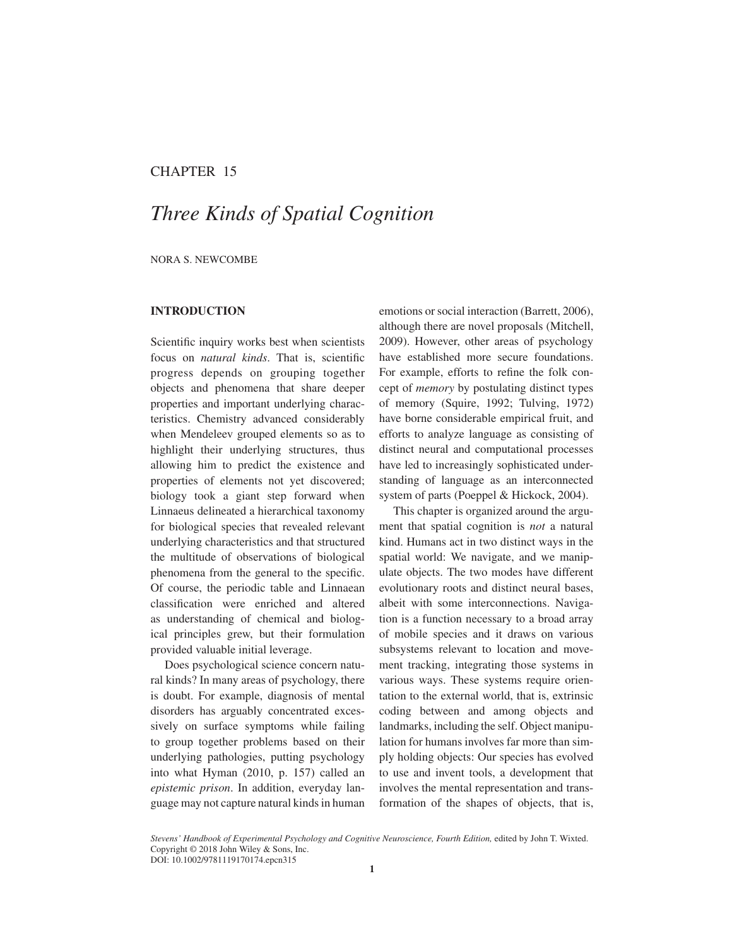# CHAPTER 15

# *Three Kinds of Spatial Cognition*

NORA S. NEWCOMBE

# **INTRODUCTION**

Scientific inquiry works best when scientists focus on *natural kinds*. That is, scientific progress depends on grouping together objects and phenomena that share deeper properties and important underlying characteristics. Chemistry advanced considerably when Mendeleev grouped elements so as to highlight their underlying structures, thus allowing him to predict the existence and properties of elements not yet discovered; biology took a giant step forward when Linnaeus delineated a hierarchical taxonomy for biological species that revealed relevant underlying characteristics and that structured the multitude of observations of biological phenomena from the general to the specific. Of course, the periodic table and Linnaean classification were enriched and altered as understanding of chemical and biological principles grew, but their formulation provided valuable initial leverage.

Does psychological science concern natural kinds? In many areas of psychology, there is doubt. For example, diagnosis of mental disorders has arguably concentrated excessively on surface symptoms while failing to group together problems based on their underlying pathologies, putting psychology into what Hyman (2010, p. 157) called an *epistemic prison*. In addition, everyday language may not capture natural kinds in human

emotions or social interaction (Barrett, 2006), although there are novel proposals (Mitchell, 2009). However, other areas of psychology have established more secure foundations. For example, efforts to refine the folk concept of *memory* by postulating distinct types of memory (Squire, 1992; Tulving, 1972) have borne considerable empirical fruit, and efforts to analyze language as consisting of distinct neural and computational processes have led to increasingly sophisticated understanding of language as an interconnected system of parts (Poeppel & Hickock, 2004).

This chapter is organized around the argument that spatial cognition is *not* a natural kind. Humans act in two distinct ways in the spatial world: We navigate, and we manipulate objects. The two modes have different evolutionary roots and distinct neural bases, albeit with some interconnections. Navigation is a function necessary to a broad array of mobile species and it draws on various subsystems relevant to location and movement tracking, integrating those systems in various ways. These systems require orientation to the external world, that is, extrinsic coding between and among objects and landmarks, including the self. Object manipulation for humans involves far more than simply holding objects: Our species has evolved to use and invent tools, a development that involves the mental representation and transformation of the shapes of objects, that is,

*Stevens' Handbook of Experimental Psychology and Cognitive Neuroscience, Fourth Edition,* edited by John T. Wixted. Copyright © 2018 John Wiley & Sons, Inc. DOI: 10.1002/9781119170174.epcn315 **1**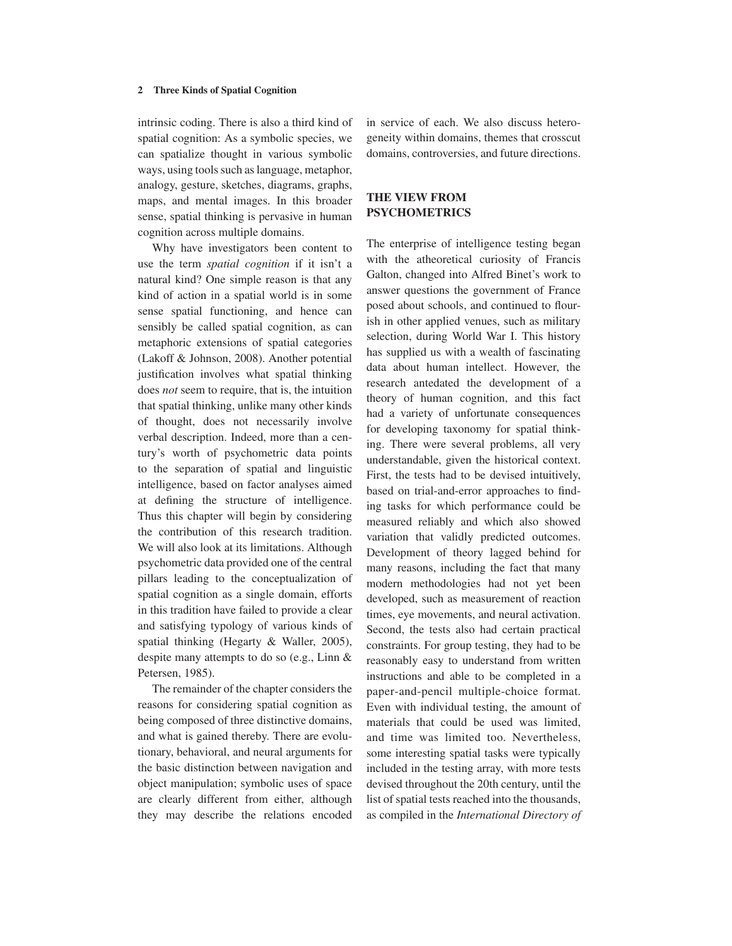intrinsic coding. There is also a third kind of spatial cognition: As a symbolic species, we can spatialize thought in various symbolic ways, using tools such as language, metaphor, analogy, gesture, sketches, diagrams, graphs, maps, and mental images. In this broader sense, spatial thinking is pervasive in human cognition across multiple domains.

Why have investigators been content to use the term *spatial cognition* if it isn't a natural kind? One simple reason is that any kind of action in a spatial world is in some sense spatial functioning, and hence can sensibly be called spatial cognition, as can metaphoric extensions of spatial categories (Lakoff & Johnson, 2008). Another potential justification involves what spatial thinking does *not* seem to require, that is, the intuition that spatial thinking, unlike many other kinds of thought, does not necessarily involve verbal description. Indeed, more than a century's worth of psychometric data points to the separation of spatial and linguistic intelligence, based on factor analyses aimed at defining the structure of intelligence. Thus this chapter will begin by considering the contribution of this research tradition. We will also look at its limitations. Although psychometric data provided one of the central pillars leading to the conceptualization of spatial cognition as a single domain, efforts in this tradition have failed to provide a clear and satisfying typology of various kinds of spatial thinking (Hegarty & Waller, 2005), despite many attempts to do so (e.g., Linn & Petersen, 1985).

The remainder of the chapter considers the reasons for considering spatial cognition as being composed of three distinctive domains, and what is gained thereby. There are evolutionary, behavioral, and neural arguments for the basic distinction between navigation and object manipulation; symbolic uses of space are clearly different from either, although they may describe the relations encoded

in service of each. We also discuss heterogeneity within domains, themes that crosscut domains, controversies, and future directions.

# **THE VIEW FROM PSYCHOMETRICS**

The enterprise of intelligence testing began with the atheoretical curiosity of Francis Galton, changed into Alfred Binet's work to answer questions the government of France posed about schools, and continued to flourish in other applied venues, such as military selection, during World War I. This history has supplied us with a wealth of fascinating data about human intellect. However, the research antedated the development of a theory of human cognition, and this fact had a variety of unfortunate consequences for developing taxonomy for spatial thinking. There were several problems, all very understandable, given the historical context. First, the tests had to be devised intuitively, based on trial-and-error approaches to finding tasks for which performance could be measured reliably and which also showed variation that validly predicted outcomes. Development of theory lagged behind for many reasons, including the fact that many modern methodologies had not yet been developed, such as measurement of reaction times, eye movements, and neural activation. Second, the tests also had certain practical constraints. For group testing, they had to be reasonably easy to understand from written instructions and able to be completed in a paper-and-pencil multiple-choice format. Even with individual testing, the amount of materials that could be used was limited, and time was limited too. Nevertheless, some interesting spatial tasks were typically included in the testing array, with more tests devised throughout the 20th century, until the list of spatial tests reached into the thousands, as compiled in the *International Directory of*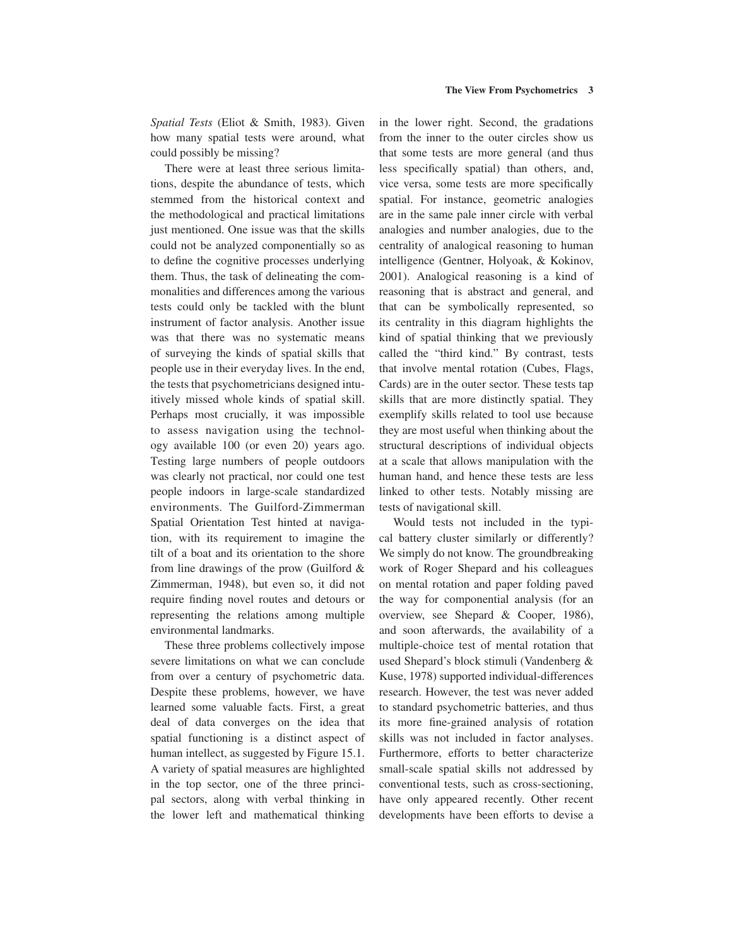*Spatial Tests* (Eliot & Smith, 1983). Given how many spatial tests were around, what could possibly be missing?

There were at least three serious limitations, despite the abundance of tests, which stemmed from the historical context and the methodological and practical limitations just mentioned. One issue was that the skills could not be analyzed componentially so as to define the cognitive processes underlying them. Thus, the task of delineating the commonalities and differences among the various tests could only be tackled with the blunt instrument of factor analysis. Another issue was that there was no systematic means of surveying the kinds of spatial skills that people use in their everyday lives. In the end, the tests that psychometricians designed intuitively missed whole kinds of spatial skill. Perhaps most crucially, it was impossible to assess navigation using the technology available 100 (or even 20) years ago. Testing large numbers of people outdoors was clearly not practical, nor could one test people indoors in large-scale standardized environments. The Guilford-Zimmerman Spatial Orientation Test hinted at navigation, with its requirement to imagine the tilt of a boat and its orientation to the shore from line drawings of the prow (Guilford & Zimmerman, 1948), but even so, it did not require finding novel routes and detours or representing the relations among multiple environmental landmarks.

These three problems collectively impose severe limitations on what we can conclude from over a century of psychometric data. Despite these problems, however, we have learned some valuable facts. First, a great deal of data converges on the idea that spatial functioning is a distinct aspect of human intellect, as suggested by Figure 15.1. A variety of spatial measures are highlighted in the top sector, one of the three principal sectors, along with verbal thinking in the lower left and mathematical thinking in the lower right. Second, the gradations from the inner to the outer circles show us that some tests are more general (and thus less specifically spatial) than others, and, vice versa, some tests are more specifically spatial. For instance, geometric analogies are in the same pale inner circle with verbal analogies and number analogies, due to the centrality of analogical reasoning to human intelligence (Gentner, Holyoak, & Kokinov, 2001). Analogical reasoning is a kind of reasoning that is abstract and general, and that can be symbolically represented, so its centrality in this diagram highlights the kind of spatial thinking that we previously called the "third kind." By contrast, tests that involve mental rotation (Cubes, Flags, Cards) are in the outer sector. These tests tap skills that are more distinctly spatial. They exemplify skills related to tool use because they are most useful when thinking about the structural descriptions of individual objects at a scale that allows manipulation with the human hand, and hence these tests are less linked to other tests. Notably missing are tests of navigational skill.

Would tests not included in the typical battery cluster similarly or differently? We simply do not know. The groundbreaking work of Roger Shepard and his colleagues on mental rotation and paper folding paved the way for componential analysis (for an overview, see Shepard & Cooper, 1986), and soon afterwards, the availability of a multiple-choice test of mental rotation that used Shepard's block stimuli (Vandenberg & Kuse, 1978) supported individual-differences research. However, the test was never added to standard psychometric batteries, and thus its more fine-grained analysis of rotation skills was not included in factor analyses. Furthermore, efforts to better characterize small-scale spatial skills not addressed by conventional tests, such as cross-sectioning, have only appeared recently. Other recent developments have been efforts to devise a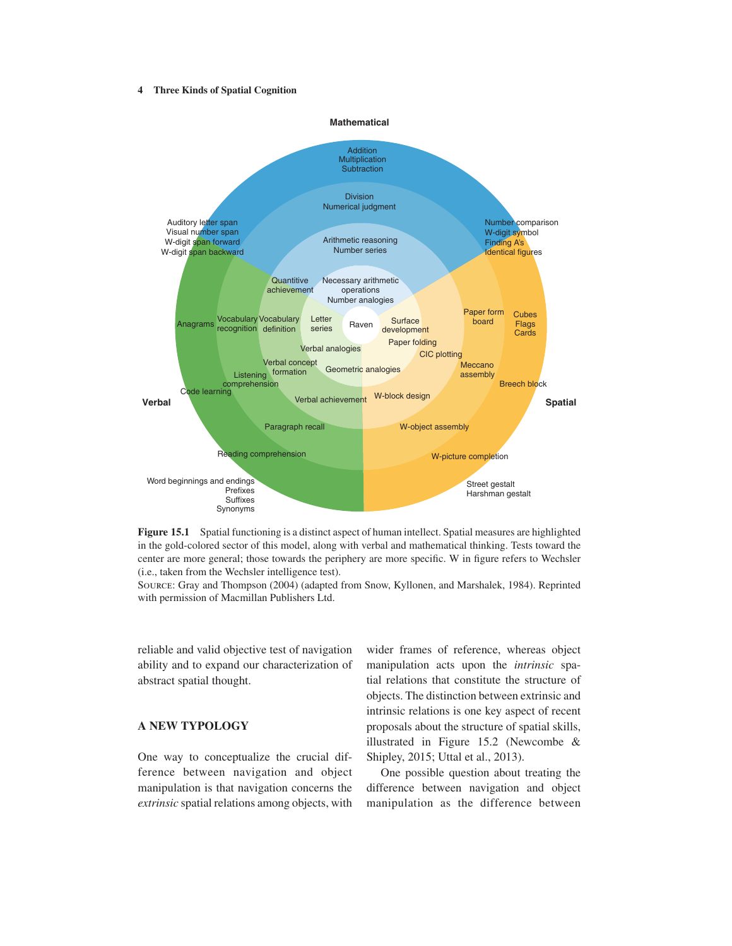

**Figure 15.1** Spatial functioning is a distinct aspect of human intellect. Spatial measures are highlighted in the gold-colored sector of this model, along with verbal and mathematical thinking. Tests toward the center are more general; those towards the periphery are more specific. W in figure refers to Wechsler (i.e., taken from the Wechsler intelligence test).

Source: Gray and Thompson (2004) (adapted from Snow, Kyllonen, and Marshalek, 1984). Reprinted with permission of Macmillan Publishers Ltd.

reliable and valid objective test of navigation ability and to expand our characterization of abstract spatial thought.

# **A NEW TYPOLOGY**

One way to conceptualize the crucial difference between navigation and object manipulation is that navigation concerns the *extrinsic* spatial relations among objects, with

wider frames of reference, whereas object manipulation acts upon the *intrinsic* spatial relations that constitute the structure of objects. The distinction between extrinsic and intrinsic relations is one key aspect of recent proposals about the structure of spatial skills, illustrated in Figure 15.2 (Newcombe & Shipley, 2015; Uttal et al., 2013).

One possible question about treating the difference between navigation and object manipulation as the difference between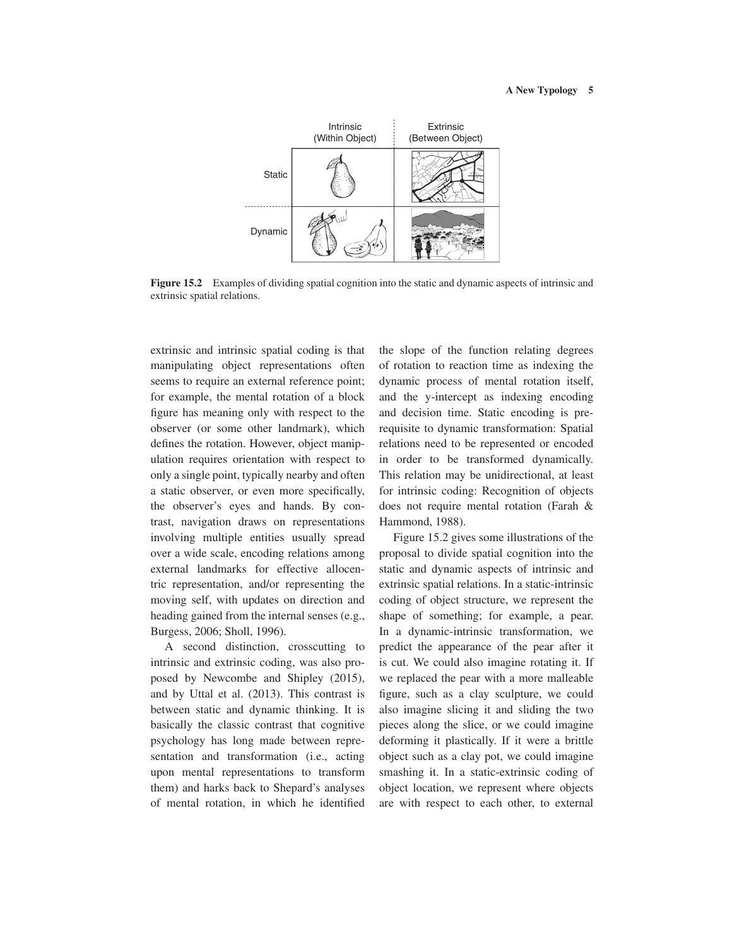#### **A New Typology 5**



**Figure 15.2** Examples of dividing spatial cognition into the static and dynamic aspects of intrinsic and extrinsic spatial relations.

extrinsic and intrinsic spatial coding is that manipulating object representations often seems to require an external reference point; for example, the mental rotation of a block figure has meaning only with respect to the observer (or some other landmark), which defines the rotation. However, object manipulation requires orientation with respect to only a single point, typically nearby and often a static observer, or even more specifically, the observer's eyes and hands. By contrast, navigation draws on representations involving multiple entities usually spread over a wide scale, encoding relations among external landmarks for effective allocentric representation, and/or representing the moving self, with updates on direction and heading gained from the internal senses (e.g., Burgess, 2006; Sholl, 1996).

A second distinction, crosscutting to intrinsic and extrinsic coding, was also proposed by Newcombe and Shipley (2015), and by Uttal et al. (2013). This contrast is between static and dynamic thinking. It is basically the classic contrast that cognitive psychology has long made between representation and transformation (i.e., acting upon mental representations to transform them) and harks back to Shepard's analyses of mental rotation, in which he identified the slope of the function relating degrees of rotation to reaction time as indexing the dynamic process of mental rotation itself, and the y-intercept as indexing encoding and decision time. Static encoding is prerequisite to dynamic transformation: Spatial relations need to be represented or encoded in order to be transformed dynamically. This relation may be unidirectional, at least for intrinsic coding: Recognition of objects does not require mental rotation (Farah & Hammond, 1988).

Figure 15.2 gives some illustrations of the proposal to divide spatial cognition into the static and dynamic aspects of intrinsic and extrinsic spatial relations. In a static-intrinsic coding of object structure, we represent the shape of something; for example, a pear. In a dynamic-intrinsic transformation, we predict the appearance of the pear after it is cut. We could also imagine rotating it. If we replaced the pear with a more malleable figure, such as a clay sculpture, we could also imagine slicing it and sliding the two pieces along the slice, or we could imagine deforming it plastically. If it were a brittle object such as a clay pot, we could imagine smashing it. In a static-extrinsic coding of object location, we represent where objects are with respect to each other, to external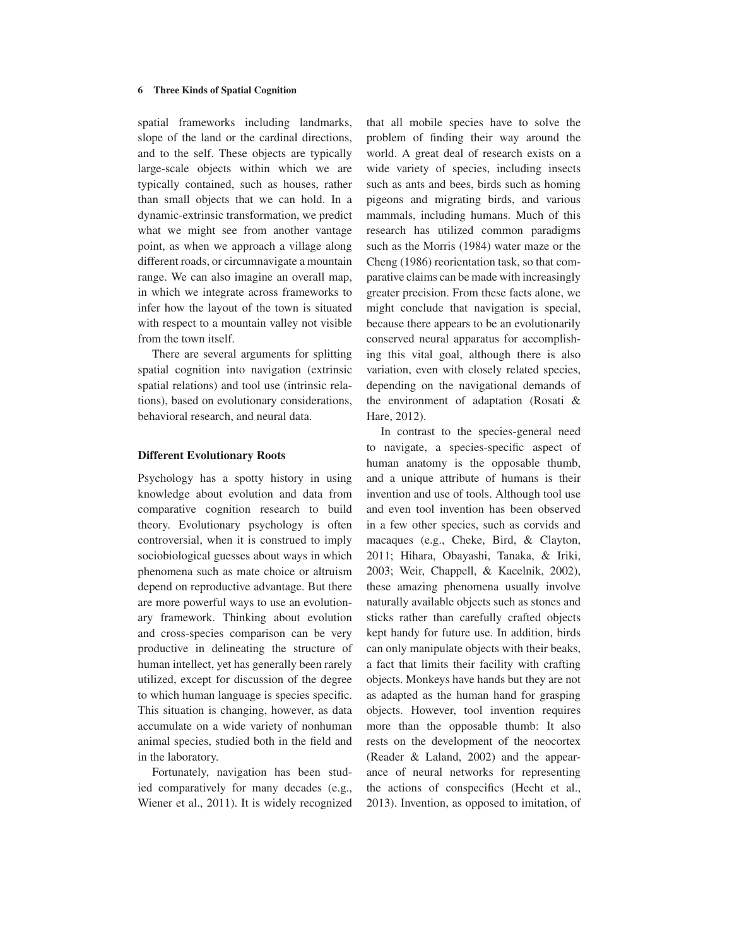spatial frameworks including landmarks, slope of the land or the cardinal directions, and to the self. These objects are typically large-scale objects within which we are typically contained, such as houses, rather than small objects that we can hold. In a dynamic-extrinsic transformation, we predict what we might see from another vantage point, as when we approach a village along different roads, or circumnavigate a mountain range. We can also imagine an overall map, in which we integrate across frameworks to infer how the layout of the town is situated with respect to a mountain valley not visible from the town itself.

There are several arguments for splitting spatial cognition into navigation (extrinsic spatial relations) and tool use (intrinsic relations), based on evolutionary considerations, behavioral research, and neural data.

#### **Different Evolutionary Roots**

Psychology has a spotty history in using knowledge about evolution and data from comparative cognition research to build theory. Evolutionary psychology is often controversial, when it is construed to imply sociobiological guesses about ways in which phenomena such as mate choice or altruism depend on reproductive advantage. But there are more powerful ways to use an evolutionary framework. Thinking about evolution and cross-species comparison can be very productive in delineating the structure of human intellect, yet has generally been rarely utilized, except for discussion of the degree to which human language is species specific. This situation is changing, however, as data accumulate on a wide variety of nonhuman animal species, studied both in the field and in the laboratory.

Fortunately, navigation has been studied comparatively for many decades (e.g., Wiener et al., 2011). It is widely recognized that all mobile species have to solve the problem of finding their way around the world. A great deal of research exists on a wide variety of species, including insects such as ants and bees, birds such as homing pigeons and migrating birds, and various mammals, including humans. Much of this research has utilized common paradigms such as the Morris (1984) water maze or the Cheng (1986) reorientation task, so that comparative claims can be made with increasingly greater precision. From these facts alone, we might conclude that navigation is special, because there appears to be an evolutionarily conserved neural apparatus for accomplishing this vital goal, although there is also variation, even with closely related species, depending on the navigational demands of the environment of adaptation (Rosati & Hare, 2012).

In contrast to the species-general need to navigate, a species-specific aspect of human anatomy is the opposable thumb, and a unique attribute of humans is their invention and use of tools. Although tool use and even tool invention has been observed in a few other species, such as corvids and macaques (e.g., Cheke, Bird, & Clayton, 2011; Hihara, Obayashi, Tanaka, & Iriki, 2003; Weir, Chappell, & Kacelnik, 2002), these amazing phenomena usually involve naturally available objects such as stones and sticks rather than carefully crafted objects kept handy for future use. In addition, birds can only manipulate objects with their beaks, a fact that limits their facility with crafting objects. Monkeys have hands but they are not as adapted as the human hand for grasping objects. However, tool invention requires more than the opposable thumb: It also rests on the development of the neocortex (Reader & Laland, 2002) and the appearance of neural networks for representing the actions of conspecifics (Hecht et al., 2013). Invention, as opposed to imitation, of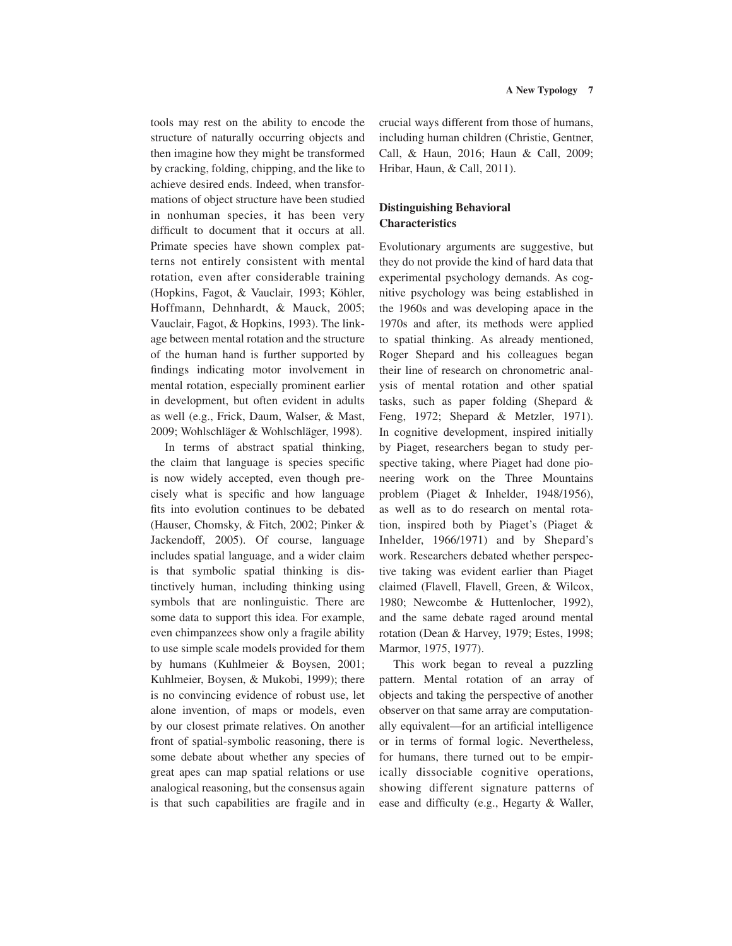tools may rest on the ability to encode the structure of naturally occurring objects and then imagine how they might be transformed by cracking, folding, chipping, and the like to achieve desired ends. Indeed, when transformations of object structure have been studied in nonhuman species, it has been very difficult to document that it occurs at all. Primate species have shown complex patterns not entirely consistent with mental rotation, even after considerable training (Hopkins, Fagot, & Vauclair, 1993; Köhler, Hoffmann, Dehnhardt, & Mauck, 2005; Vauclair, Fagot, & Hopkins, 1993). The linkage between mental rotation and the structure of the human hand is further supported by findings indicating motor involvement in mental rotation, especially prominent earlier in development, but often evident in adults as well (e.g., Frick, Daum, Walser, & Mast, 2009; Wohlschläger & Wohlschläger, 1998).

In terms of abstract spatial thinking, the claim that language is species specific is now widely accepted, even though precisely what is specific and how language fits into evolution continues to be debated (Hauser, Chomsky, & Fitch, 2002; Pinker & Jackendoff, 2005). Of course, language includes spatial language, and a wider claim is that symbolic spatial thinking is distinctively human, including thinking using symbols that are nonlinguistic. There are some data to support this idea. For example, even chimpanzees show only a fragile ability to use simple scale models provided for them by humans (Kuhlmeier & Boysen, 2001; Kuhlmeier, Boysen, & Mukobi, 1999); there is no convincing evidence of robust use, let alone invention, of maps or models, even by our closest primate relatives. On another front of spatial-symbolic reasoning, there is some debate about whether any species of great apes can map spatial relations or use analogical reasoning, but the consensus again is that such capabilities are fragile and in

crucial ways different from those of humans, including human children (Christie, Gentner, Call, & Haun, 2016; Haun & Call, 2009; Hribar, Haun, & Call, 2011).

# **Distinguishing Behavioral Characteristics**

Evolutionary arguments are suggestive, but they do not provide the kind of hard data that experimental psychology demands. As cognitive psychology was being established in the 1960s and was developing apace in the 1970s and after, its methods were applied to spatial thinking. As already mentioned, Roger Shepard and his colleagues began their line of research on chronometric analysis of mental rotation and other spatial tasks, such as paper folding (Shepard & Feng, 1972; Shepard & Metzler, 1971). In cognitive development, inspired initially by Piaget, researchers began to study perspective taking, where Piaget had done pioneering work on the Three Mountains problem (Piaget & Inhelder, 1948/1956), as well as to do research on mental rotation, inspired both by Piaget's (Piaget & Inhelder, 1966/1971) and by Shepard's work. Researchers debated whether perspective taking was evident earlier than Piaget claimed (Flavell, Flavell, Green, & Wilcox, 1980; Newcombe & Huttenlocher, 1992), and the same debate raged around mental rotation (Dean & Harvey, 1979; Estes, 1998; Marmor, 1975, 1977).

This work began to reveal a puzzling pattern. Mental rotation of an array of objects and taking the perspective of another observer on that same array are computationally equivalent—for an artificial intelligence or in terms of formal logic. Nevertheless, for humans, there turned out to be empirically dissociable cognitive operations, showing different signature patterns of ease and difficulty (e.g., Hegarty & Waller,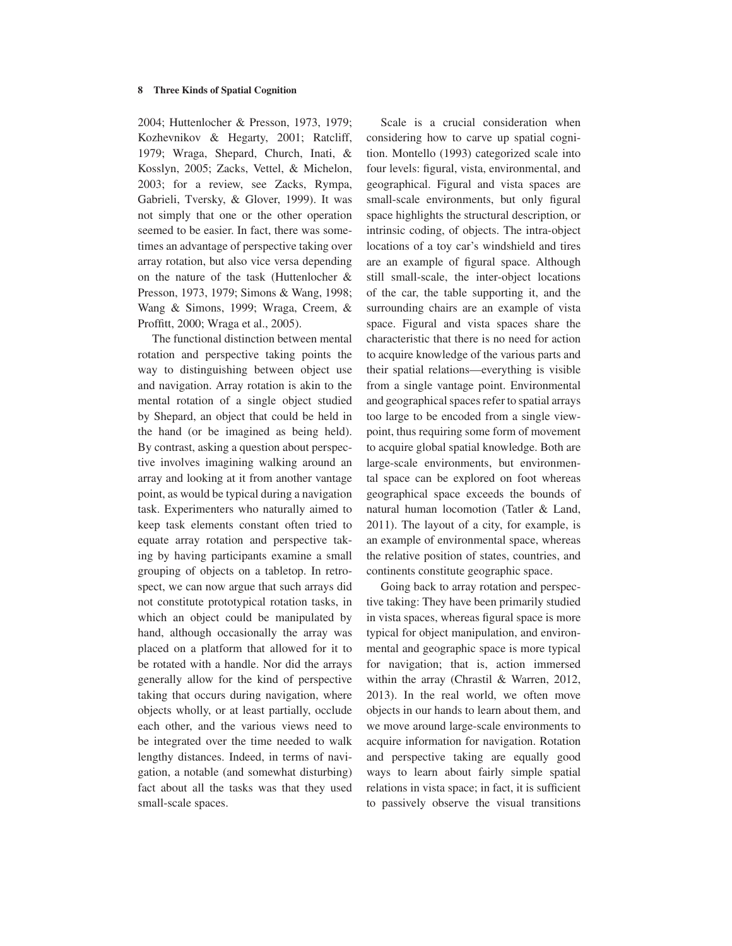2004; Huttenlocher & Presson, 1973, 1979; Kozhevnikov & Hegarty, 2001; Ratcliff, 1979; Wraga, Shepard, Church, Inati, & Kosslyn, 2005; Zacks, Vettel, & Michelon, 2003; for a review, see Zacks, Rympa, Gabrieli, Tversky, & Glover, 1999). It was not simply that one or the other operation seemed to be easier. In fact, there was sometimes an advantage of perspective taking over array rotation, but also vice versa depending on the nature of the task (Huttenlocher & Presson, 1973, 1979; Simons & Wang, 1998; Wang & Simons, 1999; Wraga, Creem, & Proffitt, 2000; Wraga et al., 2005).

The functional distinction between mental rotation and perspective taking points the way to distinguishing between object use and navigation. Array rotation is akin to the mental rotation of a single object studied by Shepard, an object that could be held in the hand (or be imagined as being held). By contrast, asking a question about perspective involves imagining walking around an array and looking at it from another vantage point, as would be typical during a navigation task. Experimenters who naturally aimed to keep task elements constant often tried to equate array rotation and perspective taking by having participants examine a small grouping of objects on a tabletop. In retrospect, we can now argue that such arrays did not constitute prototypical rotation tasks, in which an object could be manipulated by hand, although occasionally the array was placed on a platform that allowed for it to be rotated with a handle. Nor did the arrays generally allow for the kind of perspective taking that occurs during navigation, where objects wholly, or at least partially, occlude each other, and the various views need to be integrated over the time needed to walk lengthy distances. Indeed, in terms of navigation, a notable (and somewhat disturbing) fact about all the tasks was that they used small-scale spaces.

Scale is a crucial consideration when considering how to carve up spatial cognition. Montello (1993) categorized scale into four levels: figural, vista, environmental, and geographical. Figural and vista spaces are small-scale environments, but only figural space highlights the structural description, or intrinsic coding, of objects. The intra-object locations of a toy car's windshield and tires are an example of figural space. Although still small-scale, the inter-object locations of the car, the table supporting it, and the surrounding chairs are an example of vista space. Figural and vista spaces share the characteristic that there is no need for action to acquire knowledge of the various parts and their spatial relations—everything is visible from a single vantage point. Environmental and geographical spaces refer to spatial arrays too large to be encoded from a single viewpoint, thus requiring some form of movement to acquire global spatial knowledge. Both are large-scale environments, but environmental space can be explored on foot whereas geographical space exceeds the bounds of natural human locomotion (Tatler & Land, 2011). The layout of a city, for example, is an example of environmental space, whereas the relative position of states, countries, and continents constitute geographic space.

Going back to array rotation and perspective taking: They have been primarily studied in vista spaces, whereas figural space is more typical for object manipulation, and environmental and geographic space is more typical for navigation; that is, action immersed within the array (Chrastil & Warren, 2012, 2013). In the real world, we often move objects in our hands to learn about them, and we move around large-scale environments to acquire information for navigation. Rotation and perspective taking are equally good ways to learn about fairly simple spatial relations in vista space; in fact, it is sufficient to passively observe the visual transitions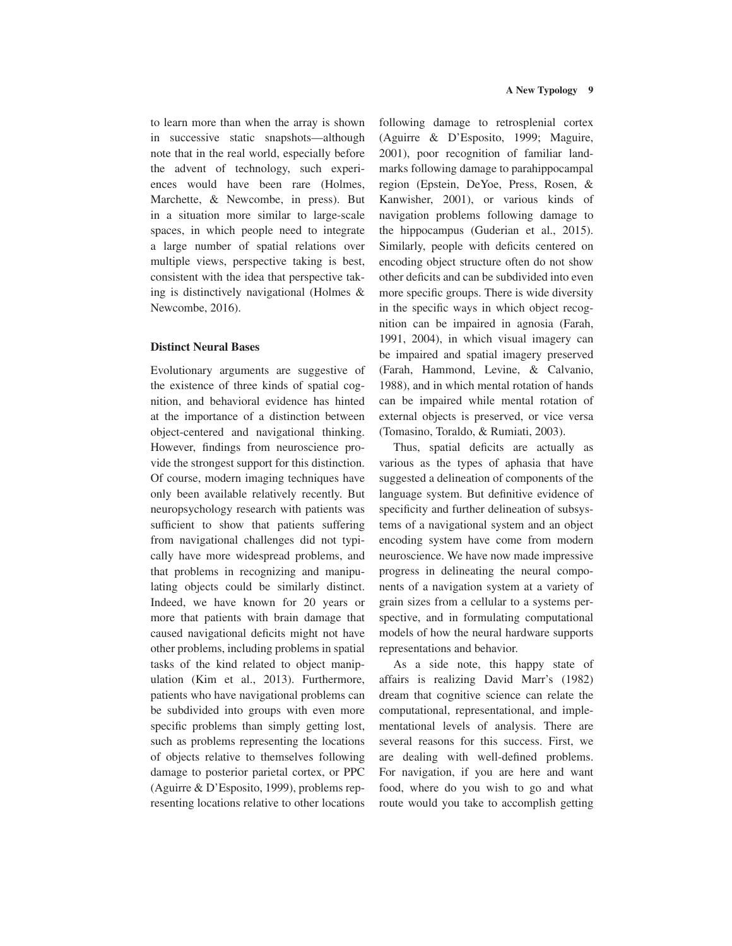to learn more than when the array is shown in successive static snapshots—although note that in the real world, especially before the advent of technology, such experiences would have been rare (Holmes, Marchette, & Newcombe, in press). But in a situation more similar to large-scale spaces, in which people need to integrate a large number of spatial relations over multiple views, perspective taking is best, consistent with the idea that perspective taking is distinctively navigational (Holmes & Newcombe, 2016).

# **Distinct Neural Bases**

Evolutionary arguments are suggestive of the existence of three kinds of spatial cognition, and behavioral evidence has hinted at the importance of a distinction between object-centered and navigational thinking. However, findings from neuroscience provide the strongest support for this distinction. Of course, modern imaging techniques have only been available relatively recently. But neuropsychology research with patients was sufficient to show that patients suffering from navigational challenges did not typically have more widespread problems, and that problems in recognizing and manipulating objects could be similarly distinct. Indeed, we have known for 20 years or more that patients with brain damage that caused navigational deficits might not have other problems, including problems in spatial tasks of the kind related to object manipulation (Kim et al., 2013). Furthermore, patients who have navigational problems can be subdivided into groups with even more specific problems than simply getting lost, such as problems representing the locations of objects relative to themselves following damage to posterior parietal cortex, or PPC (Aguirre & D'Esposito, 1999), problems representing locations relative to other locations

following damage to retrosplenial cortex (Aguirre & D'Esposito, 1999; Maguire, 2001), poor recognition of familiar landmarks following damage to parahippocampal region (Epstein, DeYoe, Press, Rosen, & Kanwisher, 2001), or various kinds of navigation problems following damage to the hippocampus (Guderian et al., 2015). Similarly, people with deficits centered on encoding object structure often do not show other deficits and can be subdivided into even more specific groups. There is wide diversity in the specific ways in which object recognition can be impaired in agnosia (Farah, 1991, 2004), in which visual imagery can be impaired and spatial imagery preserved (Farah, Hammond, Levine, & Calvanio, 1988), and in which mental rotation of hands can be impaired while mental rotation of external objects is preserved, or vice versa (Tomasino, Toraldo, & Rumiati, 2003).

Thus, spatial deficits are actually as various as the types of aphasia that have suggested a delineation of components of the language system. But definitive evidence of specificity and further delineation of subsystems of a navigational system and an object encoding system have come from modern neuroscience. We have now made impressive progress in delineating the neural components of a navigation system at a variety of grain sizes from a cellular to a systems perspective, and in formulating computational models of how the neural hardware supports representations and behavior.

As a side note, this happy state of affairs is realizing David Marr's (1982) dream that cognitive science can relate the computational, representational, and implementational levels of analysis. There are several reasons for this success. First, we are dealing with well-defined problems. For navigation, if you are here and want food, where do you wish to go and what route would you take to accomplish getting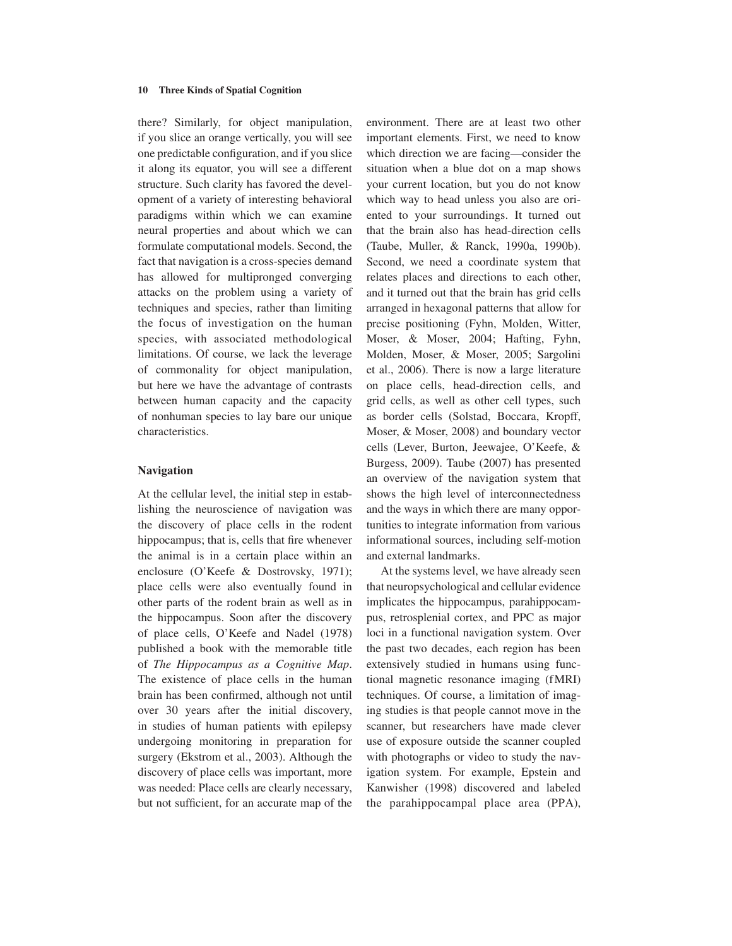there? Similarly, for object manipulation, if you slice an orange vertically, you will see one predictable configuration, and if you slice it along its equator, you will see a different structure. Such clarity has favored the development of a variety of interesting behavioral paradigms within which we can examine neural properties and about which we can formulate computational models. Second, the fact that navigation is a cross-species demand has allowed for multipronged converging attacks on the problem using a variety of techniques and species, rather than limiting the focus of investigation on the human species, with associated methodological limitations. Of course, we lack the leverage of commonality for object manipulation, but here we have the advantage of contrasts between human capacity and the capacity of nonhuman species to lay bare our unique characteristics.

# **Navigation**

At the cellular level, the initial step in establishing the neuroscience of navigation was the discovery of place cells in the rodent hippocampus; that is, cells that fire whenever the animal is in a certain place within an enclosure (O'Keefe & Dostrovsky, 1971); place cells were also eventually found in other parts of the rodent brain as well as in the hippocampus. Soon after the discovery of place cells, O'Keefe and Nadel (1978) published a book with the memorable title of *The Hippocampus as a Cognitive Map*. The existence of place cells in the human brain has been confirmed, although not until over 30 years after the initial discovery, in studies of human patients with epilepsy undergoing monitoring in preparation for surgery (Ekstrom et al., 2003). Although the discovery of place cells was important, more was needed: Place cells are clearly necessary, but not sufficient, for an accurate map of the

environment. There are at least two other important elements. First, we need to know which direction we are facing—consider the situation when a blue dot on a map shows your current location, but you do not know which way to head unless you also are oriented to your surroundings. It turned out that the brain also has head-direction cells (Taube, Muller, & Ranck, 1990a, 1990b). Second, we need a coordinate system that relates places and directions to each other, and it turned out that the brain has grid cells arranged in hexagonal patterns that allow for precise positioning (Fyhn, Molden, Witter, Moser, & Moser, 2004; Hafting, Fyhn, Molden, Moser, & Moser, 2005; Sargolini et al., 2006). There is now a large literature on place cells, head-direction cells, and grid cells, as well as other cell types, such as border cells (Solstad, Boccara, Kropff, Moser, & Moser, 2008) and boundary vector cells (Lever, Burton, Jeewajee, O'Keefe, & Burgess, 2009). Taube (2007) has presented an overview of the navigation system that shows the high level of interconnectedness and the ways in which there are many opportunities to integrate information from various informational sources, including self-motion and external landmarks.

At the systems level, we have already seen that neuropsychological and cellular evidence implicates the hippocampus, parahippocampus, retrosplenial cortex, and PPC as major loci in a functional navigation system. Over the past two decades, each region has been extensively studied in humans using functional magnetic resonance imaging (fMRI) techniques. Of course, a limitation of imaging studies is that people cannot move in the scanner, but researchers have made clever use of exposure outside the scanner coupled with photographs or video to study the navigation system. For example, Epstein and Kanwisher (1998) discovered and labeled the parahippocampal place area (PPA),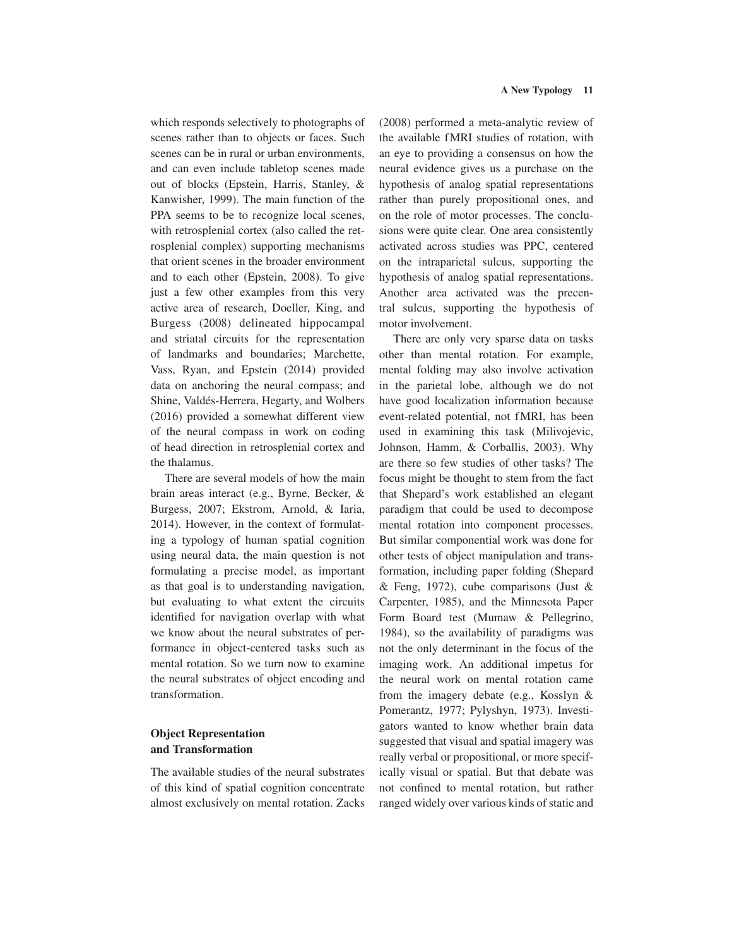which responds selectively to photographs of scenes rather than to objects or faces. Such scenes can be in rural or urban environments, and can even include tabletop scenes made out of blocks (Epstein, Harris, Stanley, & Kanwisher, 1999). The main function of the PPA seems to be to recognize local scenes, with retrosplenial cortex (also called the retrosplenial complex) supporting mechanisms that orient scenes in the broader environment and to each other (Epstein, 2008). To give just a few other examples from this very active area of research, Doeller, King, and Burgess (2008) delineated hippocampal and striatal circuits for the representation of landmarks and boundaries; Marchette, Vass, Ryan, and Epstein (2014) provided data on anchoring the neural compass; and Shine, Valdés-Herrera, Hegarty, and Wolbers (2016) provided a somewhat different view of the neural compass in work on coding of head direction in retrosplenial cortex and the thalamus.

There are several models of how the main brain areas interact (e.g., Byrne, Becker, & Burgess, 2007; Ekstrom, Arnold, & Iaria, 2014). However, in the context of formulating a typology of human spatial cognition using neural data, the main question is not formulating a precise model, as important as that goal is to understanding navigation, but evaluating to what extent the circuits identified for navigation overlap with what we know about the neural substrates of performance in object-centered tasks such as mental rotation. So we turn now to examine the neural substrates of object encoding and transformation.

# **Object Representation and Transformation**

The available studies of the neural substrates of this kind of spatial cognition concentrate almost exclusively on mental rotation. Zacks

(2008) performed a meta-analytic review of the available fMRI studies of rotation, with an eye to providing a consensus on how the neural evidence gives us a purchase on the hypothesis of analog spatial representations rather than purely propositional ones, and on the role of motor processes. The conclusions were quite clear. One area consistently activated across studies was PPC, centered on the intraparietal sulcus, supporting the hypothesis of analog spatial representations. Another area activated was the precentral sulcus, supporting the hypothesis of motor involvement.

There are only very sparse data on tasks other than mental rotation. For example, mental folding may also involve activation in the parietal lobe, although we do not have good localization information because event-related potential, not fMRI, has been used in examining this task (Milivojevic, Johnson, Hamm, & Corballis, 2003). Why are there so few studies of other tasks? The focus might be thought to stem from the fact that Shepard's work established an elegant paradigm that could be used to decompose mental rotation into component processes. But similar componential work was done for other tests of object manipulation and transformation, including paper folding (Shepard  $&$  Feng, 1972), cube comparisons (Just  $&$ Carpenter, 1985), and the Minnesota Paper Form Board test (Mumaw & Pellegrino, 1984), so the availability of paradigms was not the only determinant in the focus of the imaging work. An additional impetus for the neural work on mental rotation came from the imagery debate (e.g., Kosslyn & Pomerantz, 1977; Pylyshyn, 1973). Investigators wanted to know whether brain data suggested that visual and spatial imagery was really verbal or propositional, or more specifically visual or spatial. But that debate was not confined to mental rotation, but rather ranged widely over various kinds of static and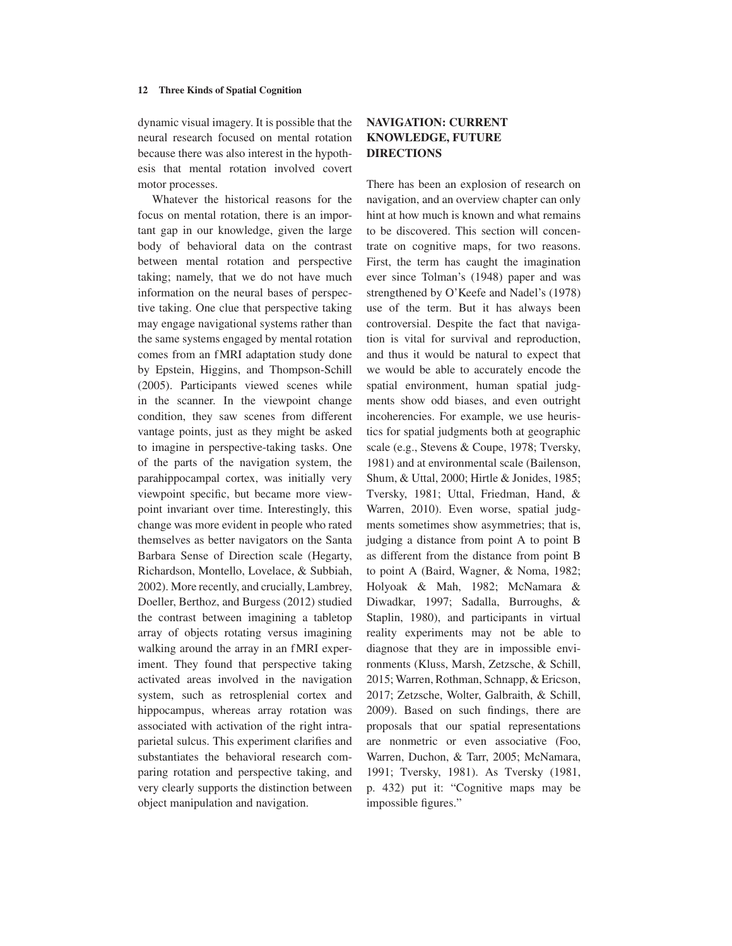dynamic visual imagery. It is possible that the neural research focused on mental rotation because there was also interest in the hypothesis that mental rotation involved covert motor processes.

Whatever the historical reasons for the focus on mental rotation, there is an important gap in our knowledge, given the large body of behavioral data on the contrast between mental rotation and perspective taking; namely, that we do not have much information on the neural bases of perspective taking. One clue that perspective taking may engage navigational systems rather than the same systems engaged by mental rotation comes from an fMRI adaptation study done by Epstein, Higgins, and Thompson-Schill (2005). Participants viewed scenes while in the scanner. In the viewpoint change condition, they saw scenes from different vantage points, just as they might be asked to imagine in perspective-taking tasks. One of the parts of the navigation system, the parahippocampal cortex, was initially very viewpoint specific, but became more viewpoint invariant over time. Interestingly, this change was more evident in people who rated themselves as better navigators on the Santa Barbara Sense of Direction scale (Hegarty, Richardson, Montello, Lovelace, & Subbiah, 2002). More recently, and crucially, Lambrey, Doeller, Berthoz, and Burgess (2012) studied the contrast between imagining a tabletop array of objects rotating versus imagining walking around the array in an fMRI experiment. They found that perspective taking activated areas involved in the navigation system, such as retrosplenial cortex and hippocampus, whereas array rotation was associated with activation of the right intraparietal sulcus. This experiment clarifies and substantiates the behavioral research comparing rotation and perspective taking, and very clearly supports the distinction between object manipulation and navigation.

# **NAVIGATION: CURRENT KNOWLEDGE, FUTURE DIRECTIONS**

There has been an explosion of research on navigation, and an overview chapter can only hint at how much is known and what remains to be discovered. This section will concentrate on cognitive maps, for two reasons. First, the term has caught the imagination ever since Tolman's (1948) paper and was strengthened by O'Keefe and Nadel's (1978) use of the term. But it has always been controversial. Despite the fact that navigation is vital for survival and reproduction, and thus it would be natural to expect that we would be able to accurately encode the spatial environment, human spatial judgments show odd biases, and even outright incoherencies. For example, we use heuristics for spatial judgments both at geographic scale (e.g., Stevens & Coupe, 1978; Tversky, 1981) and at environmental scale (Bailenson, Shum, & Uttal, 2000; Hirtle & Jonides, 1985; Tversky, 1981; Uttal, Friedman, Hand, & Warren, 2010). Even worse, spatial judgments sometimes show asymmetries; that is, judging a distance from point A to point B as different from the distance from point B to point A (Baird, Wagner, & Noma, 1982; Holyoak & Mah, 1982; McNamara & Diwadkar, 1997; Sadalla, Burroughs, & Staplin, 1980), and participants in virtual reality experiments may not be able to diagnose that they are in impossible environments (Kluss, Marsh, Zetzsche, & Schill, 2015; Warren, Rothman, Schnapp, & Ericson, 2017; Zetzsche, Wolter, Galbraith, & Schill, 2009). Based on such findings, there are proposals that our spatial representations are nonmetric or even associative (Foo, Warren, Duchon, & Tarr, 2005; McNamara, 1991; Tversky, 1981). As Tversky (1981, p. 432) put it: "Cognitive maps may be impossible figures."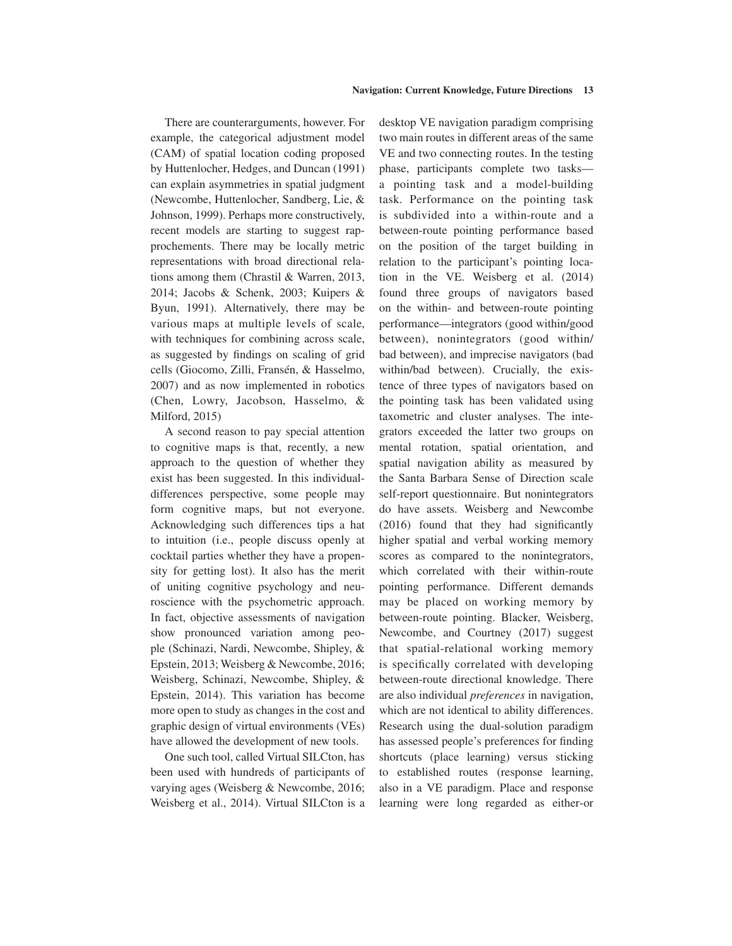There are counterarguments, however. For example, the categorical adjustment model (CAM) of spatial location coding proposed by Huttenlocher, Hedges, and Duncan (1991) can explain asymmetries in spatial judgment (Newcombe, Huttenlocher, Sandberg, Lie, & Johnson, 1999). Perhaps more constructively, recent models are starting to suggest rapprochements. There may be locally metric representations with broad directional relations among them (Chrastil & Warren, 2013, 2014; Jacobs & Schenk, 2003; Kuipers & Byun, 1991). Alternatively, there may be various maps at multiple levels of scale, with techniques for combining across scale, as suggested by findings on scaling of grid cells (Giocomo, Zilli, Fransén, & Hasselmo, 2007) and as now implemented in robotics (Chen, Lowry, Jacobson, Hasselmo, & Milford, 2015)

A second reason to pay special attention to cognitive maps is that, recently, a new approach to the question of whether they exist has been suggested. In this individualdifferences perspective, some people may form cognitive maps, but not everyone. Acknowledging such differences tips a hat to intuition (i.e., people discuss openly at cocktail parties whether they have a propensity for getting lost). It also has the merit of uniting cognitive psychology and neuroscience with the psychometric approach. In fact, objective assessments of navigation show pronounced variation among people (Schinazi, Nardi, Newcombe, Shipley, & Epstein, 2013; Weisberg & Newcombe, 2016; Weisberg, Schinazi, Newcombe, Shipley, & Epstein, 2014). This variation has become more open to study as changes in the cost and graphic design of virtual environments (VEs) have allowed the development of new tools.

One such tool, called Virtual SILCton, has been used with hundreds of participants of varying ages (Weisberg & Newcombe, 2016; Weisberg et al., 2014). Virtual SILCton is a

desktop VE navigation paradigm comprising two main routes in different areas of the same VE and two connecting routes. In the testing phase, participants complete two tasks a pointing task and a model-building task. Performance on the pointing task is subdivided into a within-route and a between-route pointing performance based on the position of the target building in relation to the participant's pointing location in the VE. Weisberg et al. (2014) found three groups of navigators based on the within- and between-route pointing performance—integrators (good within/good between), nonintegrators (good within/ bad between), and imprecise navigators (bad within/bad between). Crucially, the existence of three types of navigators based on the pointing task has been validated using taxometric and cluster analyses. The integrators exceeded the latter two groups on mental rotation, spatial orientation, and spatial navigation ability as measured by the Santa Barbara Sense of Direction scale self-report questionnaire. But nonintegrators do have assets. Weisberg and Newcombe (2016) found that they had significantly higher spatial and verbal working memory scores as compared to the nonintegrators, which correlated with their within-route pointing performance. Different demands may be placed on working memory by between-route pointing. Blacker, Weisberg, Newcombe, and Courtney (2017) suggest that spatial-relational working memory is specifically correlated with developing between-route directional knowledge. There are also individual *preferences* in navigation, which are not identical to ability differences. Research using the dual-solution paradigm has assessed people's preferences for finding shortcuts (place learning) versus sticking to established routes (response learning, also in a VE paradigm. Place and response learning were long regarded as either-or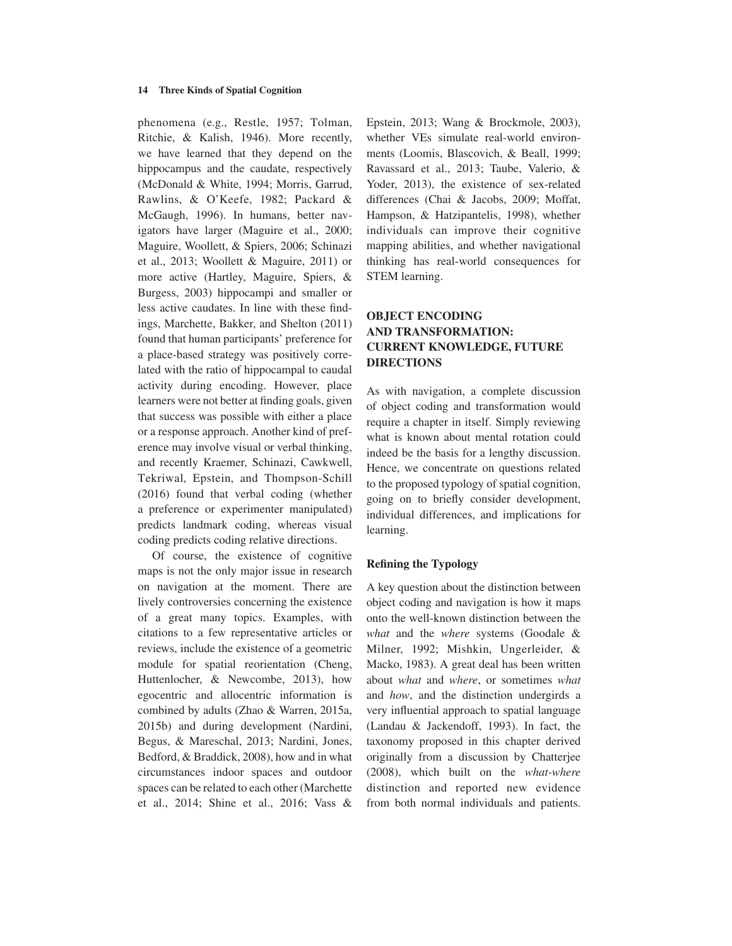phenomena (e.g., Restle, 1957; Tolman, Ritchie, & Kalish, 1946). More recently, we have learned that they depend on the hippocampus and the caudate, respectively (McDonald & White, 1994; Morris, Garrud, Rawlins, & O'Keefe, 1982; Packard & McGaugh, 1996). In humans, better navigators have larger (Maguire et al., 2000; Maguire, Woollett, & Spiers, 2006; Schinazi et al., 2013; Woollett & Maguire, 2011) or more active (Hartley, Maguire, Spiers, & Burgess, 2003) hippocampi and smaller or less active caudates. In line with these findings, Marchette, Bakker, and Shelton (2011) found that human participants' preference for a place-based strategy was positively correlated with the ratio of hippocampal to caudal activity during encoding. However, place learners were not better at finding goals, given that success was possible with either a place or a response approach. Another kind of preference may involve visual or verbal thinking, and recently Kraemer, Schinazi, Cawkwell, Tekriwal, Epstein, and Thompson-Schill (2016) found that verbal coding (whether a preference or experimenter manipulated) predicts landmark coding, whereas visual coding predicts coding relative directions.

Of course, the existence of cognitive maps is not the only major issue in research on navigation at the moment. There are lively controversies concerning the existence of a great many topics. Examples, with citations to a few representative articles or reviews, include the existence of a geometric module for spatial reorientation (Cheng, Huttenlocher, & Newcombe, 2013), how egocentric and allocentric information is combined by adults (Zhao & Warren, 2015a, 2015b) and during development (Nardini, Begus, & Mareschal, 2013; Nardini, Jones, Bedford, & Braddick, 2008), how and in what circumstances indoor spaces and outdoor spaces can be related to each other (Marchette et al., 2014; Shine et al., 2016; Vass &

Epstein, 2013; Wang & Brockmole, 2003), whether VEs simulate real-world environments (Loomis, Blascovich, & Beall, 1999; Ravassard et al., 2013; Taube, Valerio, & Yoder, 2013), the existence of sex-related differences (Chai & Jacobs, 2009; Moffat, Hampson, & Hatzipantelis, 1998), whether individuals can improve their cognitive mapping abilities, and whether navigational thinking has real-world consequences for STEM learning.

# **OBJECT ENCODING AND TRANSFORMATION: CURRENT KNOWLEDGE, FUTURE DIRECTIONS**

As with navigation, a complete discussion of object coding and transformation would require a chapter in itself. Simply reviewing what is known about mental rotation could indeed be the basis for a lengthy discussion. Hence, we concentrate on questions related to the proposed typology of spatial cognition, going on to briefly consider development, individual differences, and implications for learning.

# **Refining the Typology**

A key question about the distinction between object coding and navigation is how it maps onto the well-known distinction between the *what* and the *where* systems (Goodale & Milner, 1992; Mishkin, Ungerleider, & Macko, 1983). A great deal has been written about *what* and *where*, or sometimes *what* and *how*, and the distinction undergirds a very influential approach to spatial language (Landau & Jackendoff, 1993). In fact, the taxonomy proposed in this chapter derived originally from a discussion by Chatterjee (2008), which built on the *what-where* distinction and reported new evidence from both normal individuals and patients.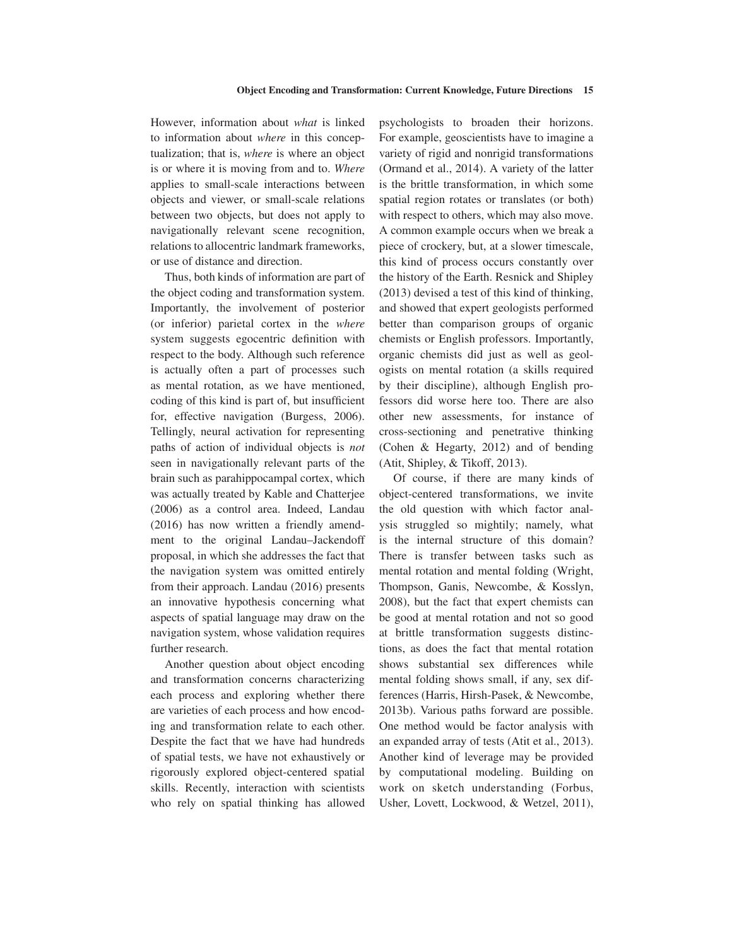However, information about *what* is linked to information about *where* in this conceptualization; that is, *where* is where an object is or where it is moving from and to. *Where* applies to small-scale interactions between objects and viewer, or small-scale relations between two objects, but does not apply to navigationally relevant scene recognition, relations to allocentric landmark frameworks, or use of distance and direction.

Thus, both kinds of information are part of the object coding and transformation system. Importantly, the involvement of posterior (or inferior) parietal cortex in the *where* system suggests egocentric definition with respect to the body. Although such reference is actually often a part of processes such as mental rotation, as we have mentioned, coding of this kind is part of, but insufficient for, effective navigation (Burgess, 2006). Tellingly, neural activation for representing paths of action of individual objects is *not* seen in navigationally relevant parts of the brain such as parahippocampal cortex, which was actually treated by Kable and Chatterjee (2006) as a control area. Indeed, Landau (2016) has now written a friendly amendment to the original Landau–Jackendoff proposal, in which she addresses the fact that the navigation system was omitted entirely from their approach. Landau (2016) presents an innovative hypothesis concerning what aspects of spatial language may draw on the navigation system, whose validation requires further research.

Another question about object encoding and transformation concerns characterizing each process and exploring whether there are varieties of each process and how encoding and transformation relate to each other. Despite the fact that we have had hundreds of spatial tests, we have not exhaustively or rigorously explored object-centered spatial skills. Recently, interaction with scientists who rely on spatial thinking has allowed psychologists to broaden their horizons. For example, geoscientists have to imagine a variety of rigid and nonrigid transformations (Ormand et al., 2014). A variety of the latter is the brittle transformation, in which some spatial region rotates or translates (or both) with respect to others, which may also move. A common example occurs when we break a piece of crockery, but, at a slower timescale, this kind of process occurs constantly over the history of the Earth. Resnick and Shipley (2013) devised a test of this kind of thinking, and showed that expert geologists performed better than comparison groups of organic chemists or English professors. Importantly, organic chemists did just as well as geologists on mental rotation (a skills required by their discipline), although English professors did worse here too. There are also other new assessments, for instance of cross-sectioning and penetrative thinking (Cohen & Hegarty, 2012) and of bending (Atit, Shipley, & Tikoff, 2013).

Of course, if there are many kinds of object-centered transformations, we invite the old question with which factor analysis struggled so mightily; namely, what is the internal structure of this domain? There is transfer between tasks such as mental rotation and mental folding (Wright, Thompson, Ganis, Newcombe, & Kosslyn, 2008), but the fact that expert chemists can be good at mental rotation and not so good at brittle transformation suggests distinctions, as does the fact that mental rotation shows substantial sex differences while mental folding shows small, if any, sex differences (Harris, Hirsh-Pasek, & Newcombe, 2013b). Various paths forward are possible. One method would be factor analysis with an expanded array of tests (Atit et al., 2013). Another kind of leverage may be provided by computational modeling. Building on work on sketch understanding (Forbus, Usher, Lovett, Lockwood, & Wetzel, 2011),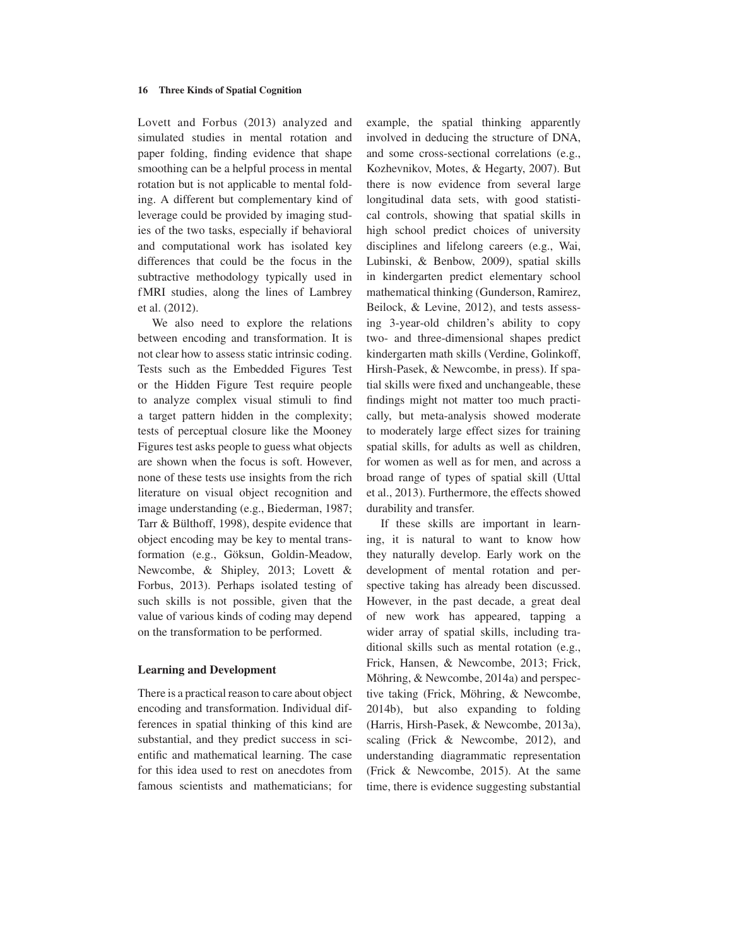Lovett and Forbus (2013) analyzed and simulated studies in mental rotation and paper folding, finding evidence that shape smoothing can be a helpful process in mental rotation but is not applicable to mental folding. A different but complementary kind of leverage could be provided by imaging studies of the two tasks, especially if behavioral and computational work has isolated key differences that could be the focus in the subtractive methodology typically used in fMRI studies, along the lines of Lambrey et al. (2012).

We also need to explore the relations between encoding and transformation. It is not clear how to assess static intrinsic coding. Tests such as the Embedded Figures Test or the Hidden Figure Test require people to analyze complex visual stimuli to find a target pattern hidden in the complexity; tests of perceptual closure like the Mooney Figures test asks people to guess what objects are shown when the focus is soft. However, none of these tests use insights from the rich literature on visual object recognition and image understanding (e.g., Biederman, 1987; Tarr & Bülthoff, 1998), despite evidence that object encoding may be key to mental transformation (e.g., Göksun, Goldin-Meadow, Newcombe, & Shipley, 2013; Lovett & Forbus, 2013). Perhaps isolated testing of such skills is not possible, given that the value of various kinds of coding may depend on the transformation to be performed.

# **Learning and Development**

There is a practical reason to care about object encoding and transformation. Individual differences in spatial thinking of this kind are substantial, and they predict success in scientific and mathematical learning. The case for this idea used to rest on anecdotes from famous scientists and mathematicians; for

example, the spatial thinking apparently involved in deducing the structure of DNA, and some cross-sectional correlations (e.g., Kozhevnikov, Motes, & Hegarty, 2007). But there is now evidence from several large longitudinal data sets, with good statistical controls, showing that spatial skills in high school predict choices of university disciplines and lifelong careers (e.g., Wai, Lubinski, & Benbow, 2009), spatial skills in kindergarten predict elementary school mathematical thinking (Gunderson, Ramirez, Beilock, & Levine, 2012), and tests assessing 3-year-old children's ability to copy two- and three-dimensional shapes predict kindergarten math skills (Verdine, Golinkoff, Hirsh-Pasek, & Newcombe, in press). If spatial skills were fixed and unchangeable, these findings might not matter too much practically, but meta-analysis showed moderate to moderately large effect sizes for training spatial skills, for adults as well as children, for women as well as for men, and across a broad range of types of spatial skill (Uttal et al., 2013). Furthermore, the effects showed durability and transfer.

If these skills are important in learning, it is natural to want to know how they naturally develop. Early work on the development of mental rotation and perspective taking has already been discussed. However, in the past decade, a great deal of new work has appeared, tapping a wider array of spatial skills, including traditional skills such as mental rotation (e.g., Frick, Hansen, & Newcombe, 2013; Frick, Möhring, & Newcombe, 2014a) and perspective taking (Frick, Möhring, & Newcombe, 2014b), but also expanding to folding (Harris, Hirsh-Pasek, & Newcombe, 2013a), scaling (Frick & Newcombe, 2012), and understanding diagrammatic representation (Frick & Newcombe, 2015). At the same time, there is evidence suggesting substantial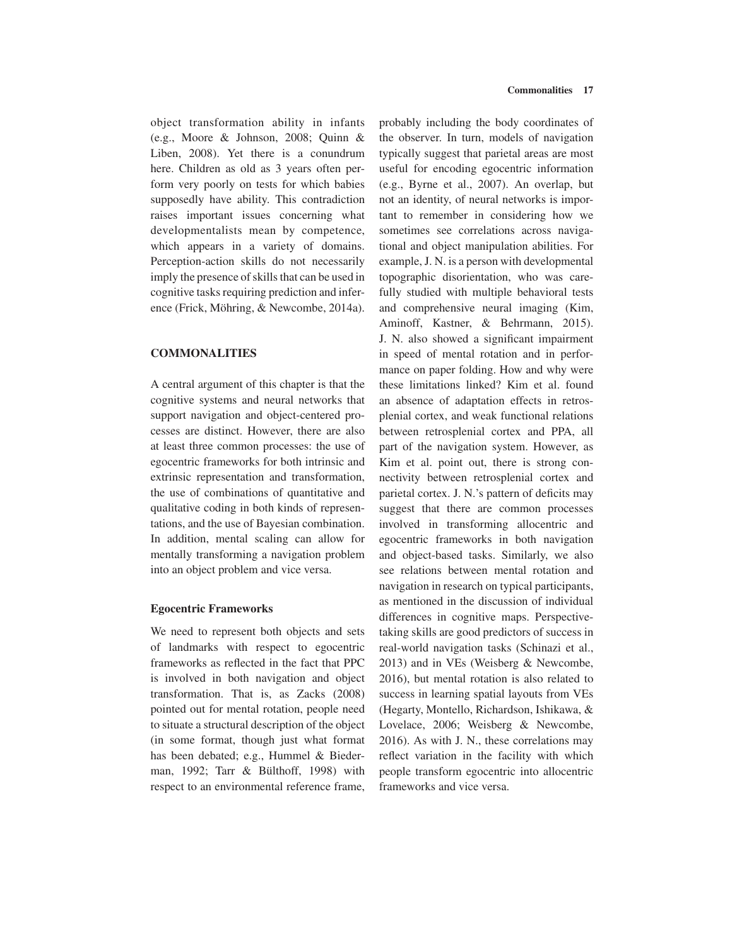object transformation ability in infants (e.g., Moore & Johnson, 2008; Quinn & Liben, 2008). Yet there is a conundrum here. Children as old as 3 years often perform very poorly on tests for which babies supposedly have ability. This contradiction raises important issues concerning what developmentalists mean by competence, which appears in a variety of domains. Perception-action skills do not necessarily imply the presence of skills that can be used in cognitive tasks requiring prediction and inference (Frick, Möhring, & Newcombe, 2014a).

# **COMMONALITIES**

A central argument of this chapter is that the cognitive systems and neural networks that support navigation and object-centered processes are distinct. However, there are also at least three common processes: the use of egocentric frameworks for both intrinsic and extrinsic representation and transformation, the use of combinations of quantitative and qualitative coding in both kinds of representations, and the use of Bayesian combination. In addition, mental scaling can allow for mentally transforming a navigation problem into an object problem and vice versa.

## **Egocentric Frameworks**

We need to represent both objects and sets of landmarks with respect to egocentric frameworks as reflected in the fact that PPC is involved in both navigation and object transformation. That is, as Zacks (2008) pointed out for mental rotation, people need to situate a structural description of the object (in some format, though just what format has been debated; e.g., Hummel & Biederman, 1992; Tarr & Bülthoff, 1998) with respect to an environmental reference frame,

probably including the body coordinates of the observer. In turn, models of navigation typically suggest that parietal areas are most useful for encoding egocentric information (e.g., Byrne et al., 2007). An overlap, but not an identity, of neural networks is important to remember in considering how we sometimes see correlations across navigational and object manipulation abilities. For example, J. N. is a person with developmental topographic disorientation, who was carefully studied with multiple behavioral tests and comprehensive neural imaging (Kim, Aminoff, Kastner, & Behrmann, 2015). J. N. also showed a significant impairment in speed of mental rotation and in performance on paper folding. How and why were these limitations linked? Kim et al. found an absence of adaptation effects in retrosplenial cortex, and weak functional relations between retrosplenial cortex and PPA, all part of the navigation system. However, as Kim et al. point out, there is strong connectivity between retrosplenial cortex and parietal cortex. J. N.'s pattern of deficits may suggest that there are common processes involved in transforming allocentric and egocentric frameworks in both navigation and object-based tasks. Similarly, we also see relations between mental rotation and navigation in research on typical participants, as mentioned in the discussion of individual differences in cognitive maps. Perspectivetaking skills are good predictors of success in real-world navigation tasks (Schinazi et al., 2013) and in VEs (Weisberg & Newcombe, 2016), but mental rotation is also related to success in learning spatial layouts from VEs (Hegarty, Montello, Richardson, Ishikawa, & Lovelace, 2006; Weisberg & Newcombe, 2016). As with J. N., these correlations may reflect variation in the facility with which people transform egocentric into allocentric frameworks and vice versa.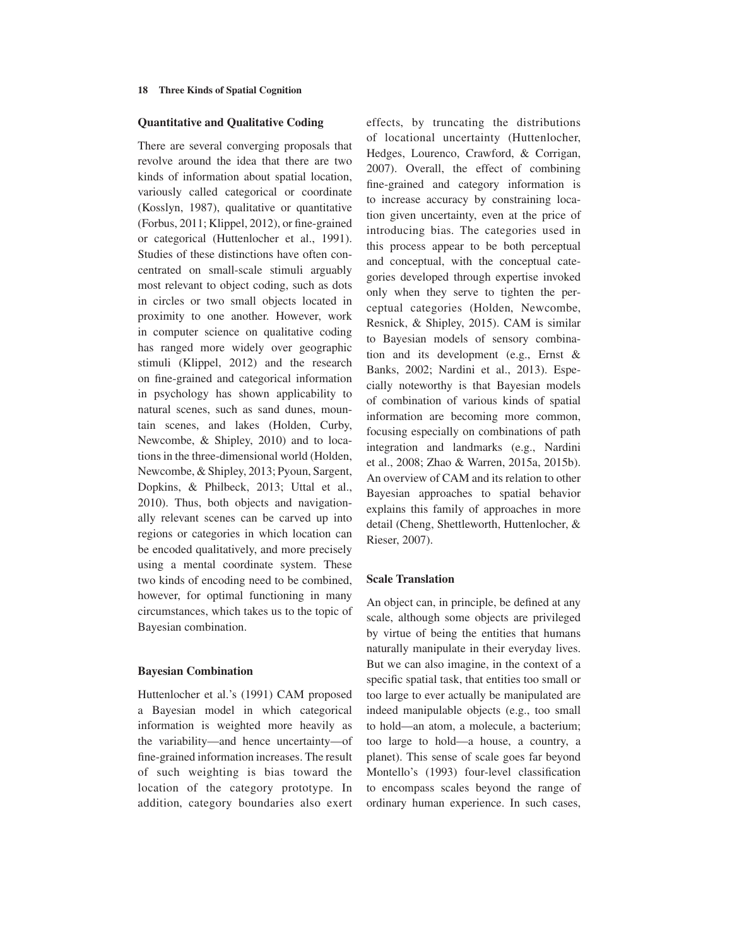#### **Quantitative and Qualitative Coding**

There are several converging proposals that revolve around the idea that there are two kinds of information about spatial location, variously called categorical or coordinate (Kosslyn, 1987), qualitative or quantitative (Forbus, 2011; Klippel, 2012), or fine-grained or categorical (Huttenlocher et al., 1991). Studies of these distinctions have often concentrated on small-scale stimuli arguably most relevant to object coding, such as dots in circles or two small objects located in proximity to one another. However, work in computer science on qualitative coding has ranged more widely over geographic stimuli (Klippel, 2012) and the research on fine-grained and categorical information in psychology has shown applicability to natural scenes, such as sand dunes, mountain scenes, and lakes (Holden, Curby, Newcombe, & Shipley, 2010) and to locations in the three-dimensional world (Holden, Newcombe, & Shipley, 2013; Pyoun, Sargent, Dopkins, & Philbeck, 2013; Uttal et al., 2010). Thus, both objects and navigationally relevant scenes can be carved up into regions or categories in which location can be encoded qualitatively, and more precisely using a mental coordinate system. These two kinds of encoding need to be combined, however, for optimal functioning in many circumstances, which takes us to the topic of Bayesian combination.

# **Bayesian Combination**

Huttenlocher et al.'s (1991) CAM proposed a Bayesian model in which categorical information is weighted more heavily as the variability—and hence uncertainty—of fine-grained information increases. The result of such weighting is bias toward the location of the category prototype. In addition, category boundaries also exert

effects, by truncating the distributions of locational uncertainty (Huttenlocher, Hedges, Lourenco, Crawford, & Corrigan, 2007). Overall, the effect of combining fine-grained and category information is to increase accuracy by constraining location given uncertainty, even at the price of introducing bias. The categories used in this process appear to be both perceptual and conceptual, with the conceptual categories developed through expertise invoked only when they serve to tighten the perceptual categories (Holden, Newcombe, Resnick, & Shipley, 2015). CAM is similar to Bayesian models of sensory combination and its development (e.g., Ernst & Banks, 2002; Nardini et al., 2013). Especially noteworthy is that Bayesian models of combination of various kinds of spatial information are becoming more common, focusing especially on combinations of path integration and landmarks (e.g., Nardini et al., 2008; Zhao & Warren, 2015a, 2015b). An overview of CAM and its relation to other Bayesian approaches to spatial behavior explains this family of approaches in more detail (Cheng, Shettleworth, Huttenlocher, & Rieser, 2007).

#### **Scale Translation**

An object can, in principle, be defined at any scale, although some objects are privileged by virtue of being the entities that humans naturally manipulate in their everyday lives. But we can also imagine, in the context of a specific spatial task, that entities too small or too large to ever actually be manipulated are indeed manipulable objects (e.g., too small to hold—an atom, a molecule, a bacterium; too large to hold—a house, a country, a planet). This sense of scale goes far beyond Montello's (1993) four-level classification to encompass scales beyond the range of ordinary human experience. In such cases,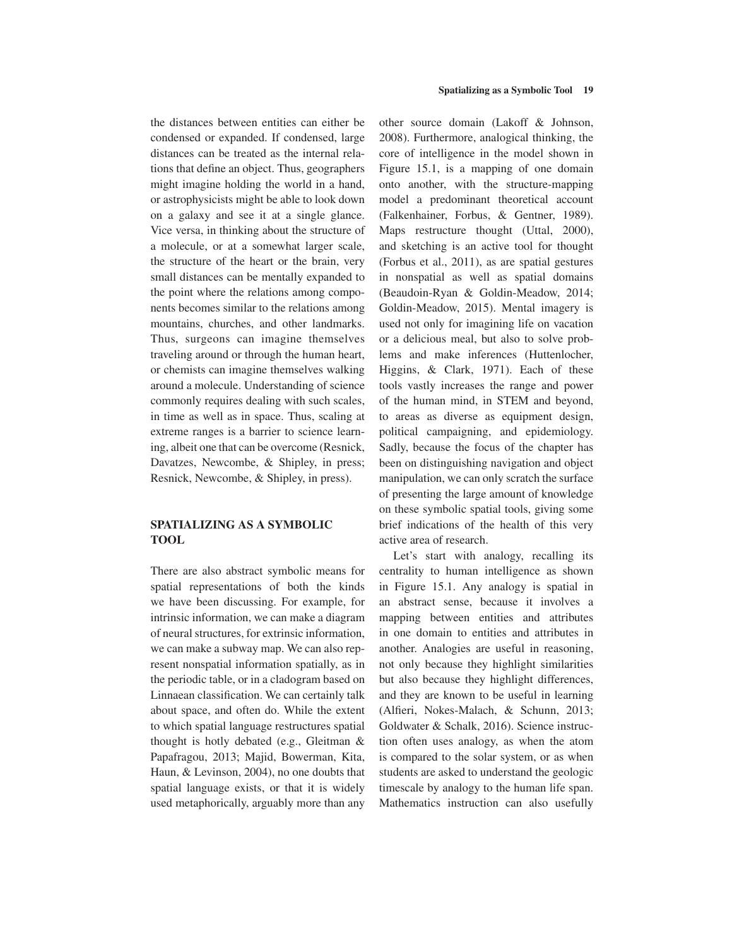the distances between entities can either be condensed or expanded. If condensed, large distances can be treated as the internal relations that define an object. Thus, geographers might imagine holding the world in a hand, or astrophysicists might be able to look down on a galaxy and see it at a single glance. Vice versa, in thinking about the structure of a molecule, or at a somewhat larger scale, the structure of the heart or the brain, very small distances can be mentally expanded to the point where the relations among components becomes similar to the relations among mountains, churches, and other landmarks. Thus, surgeons can imagine themselves traveling around or through the human heart, or chemists can imagine themselves walking around a molecule. Understanding of science commonly requires dealing with such scales, in time as well as in space. Thus, scaling at extreme ranges is a barrier to science learning, albeit one that can be overcome (Resnick, Davatzes, Newcombe, & Shipley, in press; Resnick, Newcombe, & Shipley, in press).

# **SPATIALIZING AS A SYMBOLIC TOOL**

There are also abstract symbolic means for spatial representations of both the kinds we have been discussing. For example, for intrinsic information, we can make a diagram of neural structures, for extrinsic information, we can make a subway map. We can also represent nonspatial information spatially, as in the periodic table, or in a cladogram based on Linnaean classification. We can certainly talk about space, and often do. While the extent to which spatial language restructures spatial thought is hotly debated (e.g., Gleitman & Papafragou, 2013; Majid, Bowerman, Kita, Haun, & Levinson, 2004), no one doubts that spatial language exists, or that it is widely used metaphorically, arguably more than any

other source domain (Lakoff & Johnson, 2008). Furthermore, analogical thinking, the core of intelligence in the model shown in Figure 15.1, is a mapping of one domain onto another, with the structure-mapping model a predominant theoretical account (Falkenhainer, Forbus, & Gentner, 1989). Maps restructure thought (Uttal, 2000), and sketching is an active tool for thought (Forbus et al., 2011), as are spatial gestures in nonspatial as well as spatial domains (Beaudoin-Ryan & Goldin-Meadow, 2014; Goldin-Meadow, 2015). Mental imagery is used not only for imagining life on vacation or a delicious meal, but also to solve problems and make inferences (Huttenlocher, Higgins, & Clark, 1971). Each of these tools vastly increases the range and power of the human mind, in STEM and beyond, to areas as diverse as equipment design, political campaigning, and epidemiology. Sadly, because the focus of the chapter has been on distinguishing navigation and object manipulation, we can only scratch the surface of presenting the large amount of knowledge on these symbolic spatial tools, giving some brief indications of the health of this very active area of research.

Let's start with analogy, recalling its centrality to human intelligence as shown in Figure 15.1. Any analogy is spatial in an abstract sense, because it involves a mapping between entities and attributes in one domain to entities and attributes in another. Analogies are useful in reasoning, not only because they highlight similarities but also because they highlight differences, and they are known to be useful in learning (Alfieri, Nokes-Malach, & Schunn, 2013; Goldwater & Schalk, 2016). Science instruction often uses analogy, as when the atom is compared to the solar system, or as when students are asked to understand the geologic timescale by analogy to the human life span. Mathematics instruction can also usefully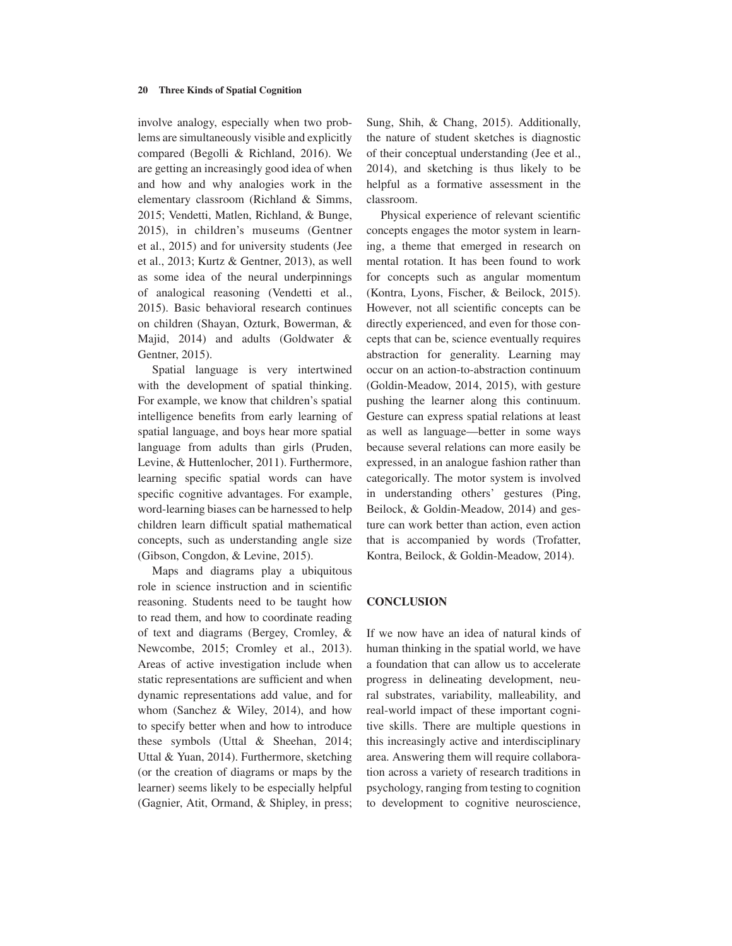involve analogy, especially when two problems are simultaneously visible and explicitly compared (Begolli & Richland, 2016). We are getting an increasingly good idea of when and how and why analogies work in the elementary classroom (Richland & Simms, 2015; Vendetti, Matlen, Richland, & Bunge, 2015), in children's museums (Gentner et al., 2015) and for university students (Jee et al., 2013; Kurtz & Gentner, 2013), as well as some idea of the neural underpinnings of analogical reasoning (Vendetti et al., 2015). Basic behavioral research continues on children (Shayan, Ozturk, Bowerman, & Majid, 2014) and adults (Goldwater & Gentner, 2015).

Spatial language is very intertwined with the development of spatial thinking. For example, we know that children's spatial intelligence benefits from early learning of spatial language, and boys hear more spatial language from adults than girls (Pruden, Levine, & Huttenlocher, 2011). Furthermore, learning specific spatial words can have specific cognitive advantages. For example, word-learning biases can be harnessed to help children learn difficult spatial mathematical concepts, such as understanding angle size (Gibson, Congdon, & Levine, 2015).

Maps and diagrams play a ubiquitous role in science instruction and in scientific reasoning. Students need to be taught how to read them, and how to coordinate reading of text and diagrams (Bergey, Cromley, & Newcombe, 2015; Cromley et al., 2013). Areas of active investigation include when static representations are sufficient and when dynamic representations add value, and for whom (Sanchez & Wiley, 2014), and how to specify better when and how to introduce these symbols (Uttal & Sheehan, 2014; Uttal & Yuan, 2014). Furthermore, sketching (or the creation of diagrams or maps by the learner) seems likely to be especially helpful (Gagnier, Atit, Ormand, & Shipley, in press; Sung, Shih, & Chang, 2015). Additionally, the nature of student sketches is diagnostic of their conceptual understanding (Jee et al., 2014), and sketching is thus likely to be helpful as a formative assessment in the classroom.

Physical experience of relevant scientific concepts engages the motor system in learning, a theme that emerged in research on mental rotation. It has been found to work for concepts such as angular momentum (Kontra, Lyons, Fischer, & Beilock, 2015). However, not all scientific concepts can be directly experienced, and even for those concepts that can be, science eventually requires abstraction for generality. Learning may occur on an action-to-abstraction continuum (Goldin-Meadow, 2014, 2015), with gesture pushing the learner along this continuum. Gesture can express spatial relations at least as well as language—better in some ways because several relations can more easily be expressed, in an analogue fashion rather than categorically. The motor system is involved in understanding others' gestures (Ping, Beilock, & Goldin-Meadow, 2014) and gesture can work better than action, even action that is accompanied by words (Trofatter, Kontra, Beilock, & Goldin-Meadow, 2014).

# **CONCLUSION**

If we now have an idea of natural kinds of human thinking in the spatial world, we have a foundation that can allow us to accelerate progress in delineating development, neural substrates, variability, malleability, and real-world impact of these important cognitive skills. There are multiple questions in this increasingly active and interdisciplinary area. Answering them will require collaboration across a variety of research traditions in psychology, ranging from testing to cognition to development to cognitive neuroscience,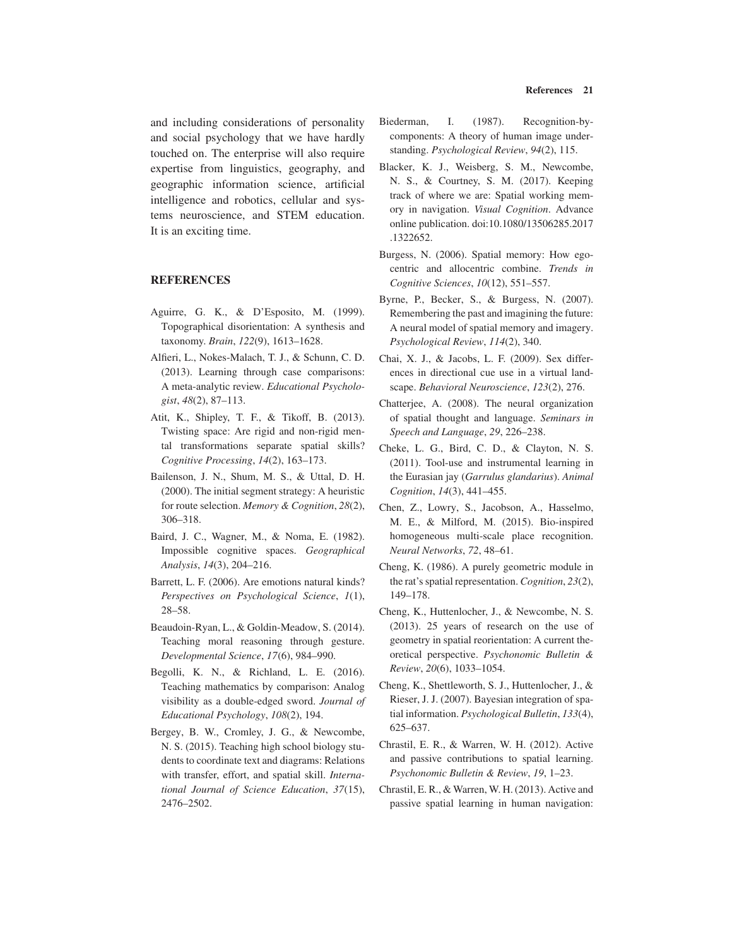and including considerations of personality and social psychology that we have hardly touched on. The enterprise will also require expertise from linguistics, geography, and geographic information science, artificial intelligence and robotics, cellular and systems neuroscience, and STEM education. It is an exciting time.

#### **REFERENCES**

- Aguirre, G. K., & D'Esposito, M. (1999). Topographical disorientation: A synthesis and taxonomy. *Brain*, *122*(9), 1613–1628.
- Alfieri, L., Nokes-Malach, T. J., & Schunn, C. D. (2013). Learning through case comparisons: A meta-analytic review. *Educational Psychologist*, *48*(2), 87–113.
- Atit, K., Shipley, T. F., & Tikoff, B. (2013). Twisting space: Are rigid and non-rigid mental transformations separate spatial skills? *Cognitive Processing*, *14*(2), 163–173.
- Bailenson, J. N., Shum, M. S., & Uttal, D. H. (2000). The initial segment strategy: A heuristic for route selection. *Memory & Cognition*, *28*(2), 306–318.
- Baird, J. C., Wagner, M., & Noma, E. (1982). Impossible cognitive spaces. *Geographical Analysis*, *14*(3), 204–216.
- Barrett, L. F. (2006). Are emotions natural kinds? *Perspectives on Psychological Science*, *1*(1), 28–58.
- Beaudoin-Ryan, L., & Goldin-Meadow, S. (2014). Teaching moral reasoning through gesture. *Developmental Science*, *17*(6), 984–990.
- Begolli, K. N., & Richland, L. E. (2016). Teaching mathematics by comparison: Analog visibility as a double-edged sword. *Journal of Educational Psychology*, *108*(2), 194.
- Bergey, B. W., Cromley, J. G., & Newcombe, N. S. (2015). Teaching high school biology students to coordinate text and diagrams: Relations with transfer, effort, and spatial skill. *International Journal of Science Education*, *37*(15), 2476–2502.
- Biederman, I. (1987). Recognition-bycomponents: A theory of human image understanding. *Psychological Review*, *94*(2), 115.
- Blacker, K. J., Weisberg, S. M., Newcombe, N. S., & Courtney, S. M. (2017). Keeping track of where we are: Spatial working memory in navigation. *Visual Cognition*. Advance online publication. doi:10.1080/13506285.2017 .1322652.
- Burgess, N. (2006). Spatial memory: How egocentric and allocentric combine. *Trends in Cognitive Sciences*, *10*(12), 551–557.
- Byrne, P., Becker, S., & Burgess, N. (2007). Remembering the past and imagining the future: A neural model of spatial memory and imagery. *Psychological Review*, *114*(2), 340.
- Chai, X. J., & Jacobs, L. F. (2009). Sex differences in directional cue use in a virtual landscape. *Behavioral Neuroscience*, *123*(2), 276.
- Chatterjee, A. (2008). The neural organization of spatial thought and language. *Seminars in Speech and Language*, *29*, 226–238.
- Cheke, L. G., Bird, C. D., & Clayton, N. S. (2011). Tool-use and instrumental learning in the Eurasian jay (*Garrulus glandarius*). *Animal Cognition*, *14*(3), 441–455.
- Chen, Z., Lowry, S., Jacobson, A., Hasselmo, M. E., & Milford, M. (2015). Bio-inspired homogeneous multi-scale place recognition. *Neural Networks*, *72*, 48–61.
- Cheng, K. (1986). A purely geometric module in the rat's spatial representation. *Cognition*, *23*(2), 149–178.
- Cheng, K., Huttenlocher, J., & Newcombe, N. S. (2013). 25 years of research on the use of geometry in spatial reorientation: A current theoretical perspective. *Psychonomic Bulletin & Review*, *20*(6), 1033–1054.
- Cheng, K., Shettleworth, S. J., Huttenlocher, J., & Rieser, J. J. (2007). Bayesian integration of spatial information. *Psychological Bulletin*, *133*(4), 625–637.
- Chrastil, E. R., & Warren, W. H. (2012). Active and passive contributions to spatial learning. *Psychonomic Bulletin & Review*, *19*, 1–23.
- Chrastil, E. R., & Warren, W. H. (2013). Active and passive spatial learning in human navigation: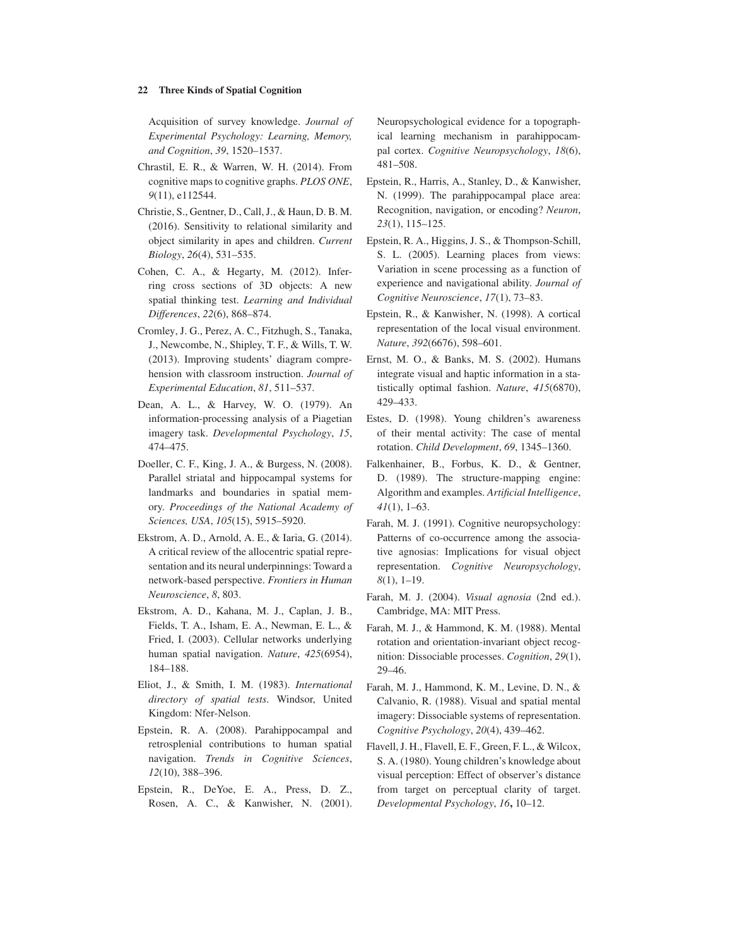Acquisition of survey knowledge. *Journal of Experimental Psychology: Learning, Memory, and Cognition*, *39*, 1520–1537.

- Chrastil, E. R., & Warren, W. H. (2014). From cognitive maps to cognitive graphs. *PLOS ONE*, *9*(11), e112544.
- Christie, S., Gentner, D., Call, J., & Haun, D. B. M. (2016). Sensitivity to relational similarity and object similarity in apes and children. *Current Biology*, *26*(4), 531–535.
- Cohen, C. A., & Hegarty, M. (2012). Inferring cross sections of 3D objects: A new spatial thinking test. *Learning and Individual Differences*, *22*(6), 868–874.
- Cromley, J. G., Perez, A. C., Fitzhugh, S., Tanaka, J., Newcombe, N., Shipley, T. F., & Wills, T. W. (2013). Improving students' diagram comprehension with classroom instruction. *Journal of Experimental Education*, *81*, 511–537.
- Dean, A. L., & Harvey, W. O. (1979). An information-processing analysis of a Piagetian imagery task. *Developmental Psychology*, *15*, 474–475.
- Doeller, C. F., King, J. A., & Burgess, N. (2008). Parallel striatal and hippocampal systems for landmarks and boundaries in spatial memory. *Proceedings of the National Academy of Sciences, USA*, *105*(15), 5915–5920.
- Ekstrom, A. D., Arnold, A. E., & Iaria, G. (2014). A critical review of the allocentric spatial representation and its neural underpinnings: Toward a network-based perspective. *Frontiers in Human Neuroscience*, *8*, 803.
- Ekstrom, A. D., Kahana, M. J., Caplan, J. B., Fields, T. A., Isham, E. A., Newman, E. L., & Fried, I. (2003). Cellular networks underlying human spatial navigation. *Nature*, *425*(6954), 184–188.
- Eliot, J., & Smith, I. M. (1983). *International directory of spatial tests*. Windsor, United Kingdom: Nfer-Nelson.
- Epstein, R. A. (2008). Parahippocampal and retrosplenial contributions to human spatial navigation. *Trends in Cognitive Sciences*, *12*(10), 388–396.
- Epstein, R., DeYoe, E. A., Press, D. Z., Rosen, A. C., & Kanwisher, N. (2001).

Neuropsychological evidence for a topographical learning mechanism in parahippocampal cortex. *Cognitive Neuropsychology*, *18*(6), 481–508.

- Epstein, R., Harris, A., Stanley, D., & Kanwisher, N. (1999). The parahippocampal place area: Recognition, navigation, or encoding? *Neuron*, *23*(1), 115–125.
- Epstein, R. A., Higgins, J. S., & Thompson-Schill, S. L. (2005). Learning places from views: Variation in scene processing as a function of experience and navigational ability. *Journal of Cognitive Neuroscience*, *17*(1), 73–83.
- Epstein, R., & Kanwisher, N. (1998). A cortical representation of the local visual environment. *Nature*, *392*(6676), 598–601.
- Ernst, M. O., & Banks, M. S. (2002). Humans integrate visual and haptic information in a statistically optimal fashion. *Nature*, *415*(6870), 429–433.
- Estes, D. (1998). Young children's awareness of their mental activity: The case of mental rotation. *Child Development*, *69*, 1345–1360.
- Falkenhainer, B., Forbus, K. D., & Gentner, D. (1989). The structure-mapping engine: Algorithm and examples. *Artificial Intelligence*, *41*(1), 1–63.
- Farah, M. J. (1991). Cognitive neuropsychology: Patterns of co-occurrence among the associative agnosias: Implications for visual object representation. *Cognitive Neuropsychology*, *8*(1), 1–19.
- Farah, M. J. (2004). *Visual agnosia* (2nd ed.). Cambridge, MA: MIT Press.
- Farah, M. J., & Hammond, K. M. (1988). Mental rotation and orientation-invariant object recognition: Dissociable processes. *Cognition*, *29*(1), 29–46.
- Farah, M. J., Hammond, K. M., Levine, D. N., & Calvanio, R. (1988). Visual and spatial mental imagery: Dissociable systems of representation. *Cognitive Psychology*, *20*(4), 439–462.
- Flavell, J. H., Flavell, E. F., Green, F. L., & Wilcox, S. A. (1980). Young children's knowledge about visual perception: Effect of observer's distance from target on perceptual clarity of target. *Developmental Psychology*, *16***,** 10–12.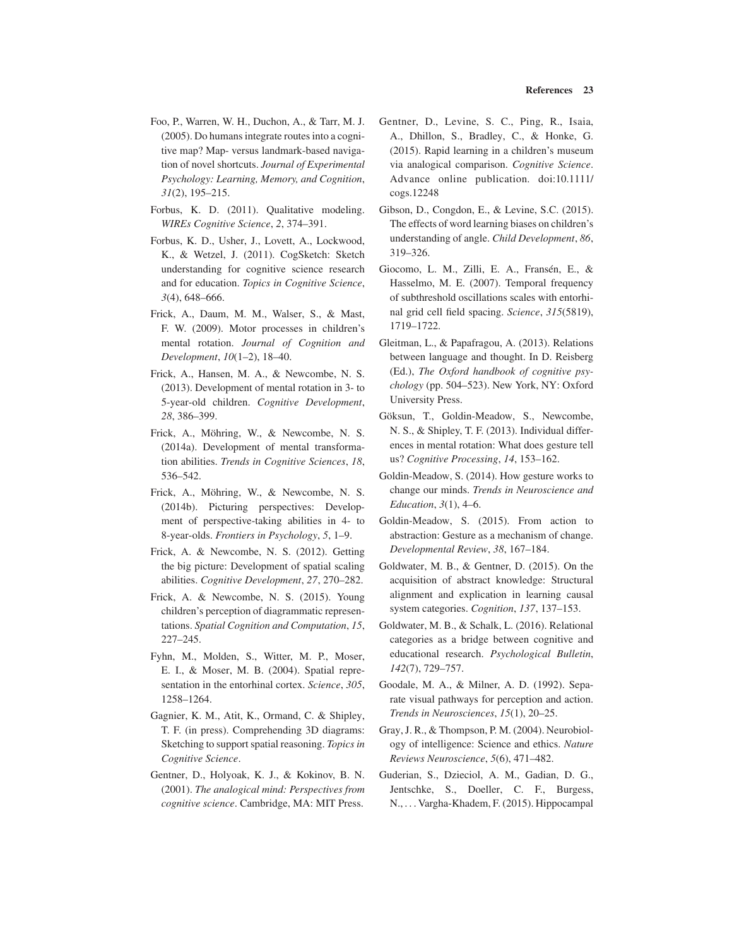- Foo, P., Warren, W. H., Duchon, A., & Tarr, M. J. (2005). Do humans integrate routes into a cognitive map? Map- versus landmark-based navigation of novel shortcuts. *Journal of Experimental Psychology: Learning, Memory, and Cognition*, *31*(2), 195–215.
- Forbus, K. D. (2011). Qualitative modeling. *WIREs Cognitive Science*, *2*, 374–391.
- Forbus, K. D., Usher, J., Lovett, A., Lockwood, K., & Wetzel, J. (2011). CogSketch: Sketch understanding for cognitive science research and for education. *Topics in Cognitive Science*, *3*(4), 648–666.
- Frick, A., Daum, M. M., Walser, S., & Mast, F. W. (2009). Motor processes in children's mental rotation. *Journal of Cognition and Development*, *10*(1–2), 18–40.
- Frick, A., Hansen, M. A., & Newcombe, N. S. (2013). Development of mental rotation in 3- to 5-year-old children. *Cognitive Development*, *28*, 386–399.
- Frick, A., Möhring, W., & Newcombe, N. S. (2014a). Development of mental transformation abilities. *Trends in Cognitive Sciences*, *18*, 536–542.
- Frick, A., Möhring, W., & Newcombe, N. S. (2014b). Picturing perspectives: Development of perspective-taking abilities in 4- to 8-year-olds. *Frontiers in Psychology*, *5*, 1–9.
- Frick, A. & Newcombe, N. S. (2012). Getting the big picture: Development of spatial scaling abilities. *Cognitive Development*, *27*, 270–282.
- Frick, A. & Newcombe, N. S. (2015). Young children's perception of diagrammatic representations. *Spatial Cognition and Computation*, *15*, 227–245.
- Fyhn, M., Molden, S., Witter, M. P., Moser, E. I., & Moser, M. B. (2004). Spatial representation in the entorhinal cortex. *Science*, *305*, 1258–1264.
- Gagnier, K. M., Atit, K., Ormand, C. & Shipley, T. F. (in press). Comprehending 3D diagrams: Sketching to support spatial reasoning. *Topics in Cognitive Science*.
- Gentner, D., Holyoak, K. J., & Kokinov, B. N. (2001). *The analogical mind: Perspectives from cognitive science*. Cambridge, MA: MIT Press.
- Gentner, D., Levine, S. C., Ping, R., Isaia, A., Dhillon, S., Bradley, C., & Honke, G. (2015). Rapid learning in a children's museum via analogical comparison. *Cognitive Science*. Advance online publication. doi:10.1111/ cogs.12248
- Gibson, D., Congdon, E., & Levine, S.C. (2015). The effects of word learning biases on children's understanding of angle. *Child Development*, *86*, 319–326.
- Giocomo, L. M., Zilli, E. A., Fransén, E., & Hasselmo, M. E. (2007). Temporal frequency of subthreshold oscillations scales with entorhinal grid cell field spacing. *Science*, *315*(5819), 1719–1722.
- Gleitman, L., & Papafragou, A. (2013). Relations between language and thought. In D. Reisberg (Ed.), *The Oxford handbook of cognitive psychology* (pp. 504–523). New York, NY: Oxford University Press.
- Göksun, T., Goldin-Meadow, S., Newcombe, N. S., & Shipley, T. F. (2013). Individual differences in mental rotation: What does gesture tell us? *Cognitive Processing*, *14*, 153–162.
- Goldin-Meadow, S. (2014). How gesture works to change our minds. *Trends in Neuroscience and Education*, *3*(1), 4–6.
- Goldin-Meadow, S. (2015). From action to abstraction: Gesture as a mechanism of change. *Developmental Review*, *38*, 167–184.
- Goldwater, M. B., & Gentner, D. (2015). On the acquisition of abstract knowledge: Structural alignment and explication in learning causal system categories. *Cognition*, *137*, 137–153.
- Goldwater, M. B., & Schalk, L. (2016). Relational categories as a bridge between cognitive and educational research. *Psychological Bulletin*, *142*(7), 729–757.
- Goodale, M. A., & Milner, A. D. (1992). Separate visual pathways for perception and action. *Trends in Neurosciences*, *15*(1), 20–25.
- Gray, J. R., & Thompson, P. M. (2004). Neurobiology of intelligence: Science and ethics. *Nature Reviews Neuroscience*, *5*(6), 471–482.
- Guderian, S., Dzieciol, A. M., Gadian, D. G., Jentschke, S., Doeller, C. F., Burgess, N., . . . Vargha-Khadem, F. (2015). Hippocampal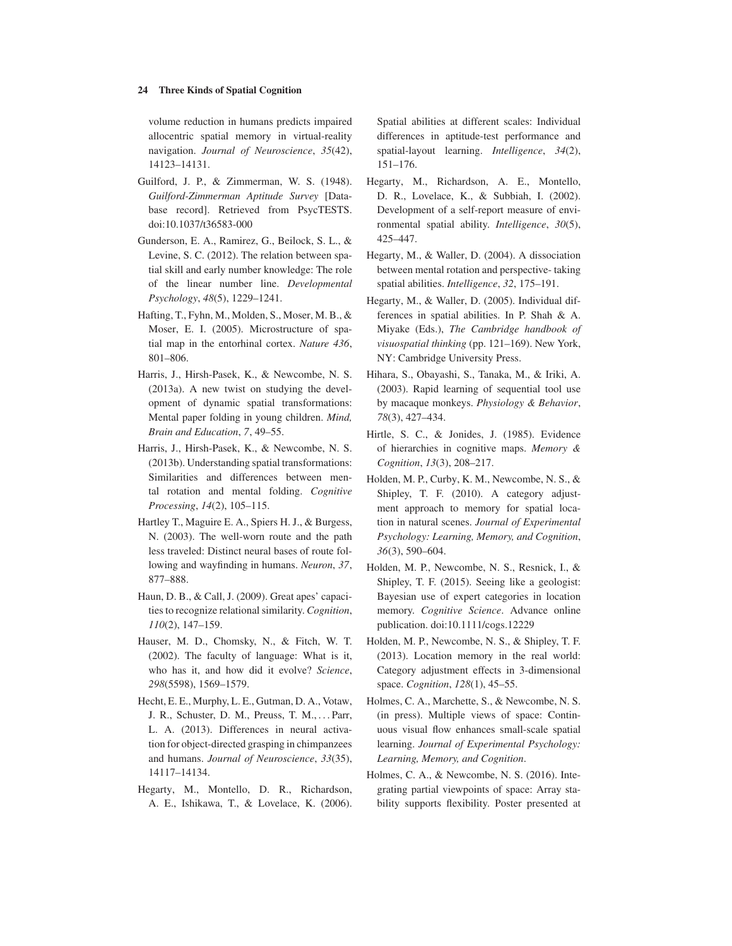volume reduction in humans predicts impaired allocentric spatial memory in virtual-reality navigation. *Journal of Neuroscience*, *35*(42), 14123–14131.

- Guilford, J. P., & Zimmerman, W. S. (1948). *Guilford-Zimmerman Aptitude Survey* [Database record]. Retrieved from PsycTESTS. doi:10.1037/t36583-000
- Gunderson, E. A., Ramirez, G., Beilock, S. L., & Levine, S. C. (2012). The relation between spatial skill and early number knowledge: The role of the linear number line. *Developmental Psychology*, *48*(5), 1229–1241.
- Hafting, T., Fyhn, M., Molden, S., Moser, M. B., & Moser, E. I. (2005). Microstructure of spatial map in the entorhinal cortex. *Nature 436*, 801–806.
- Harris, J., Hirsh-Pasek, K., & Newcombe, N. S. (2013a). A new twist on studying the development of dynamic spatial transformations: Mental paper folding in young children. *Mind, Brain and Education*, *7*, 49–55.
- Harris, J., Hirsh-Pasek, K., & Newcombe, N. S. (2013b). Understanding spatial transformations: Similarities and differences between mental rotation and mental folding. *Cognitive Processing*, *14*(2), 105–115.
- Hartley T., Maguire E. A., Spiers H. J., & Burgess, N. (2003). The well-worn route and the path less traveled: Distinct neural bases of route following and wayfinding in humans. *Neuron*, *37*, 877–888.
- Haun, D. B., & Call, J. (2009). Great apes' capacities to recognize relational similarity. *Cognition*, *110*(2), 147–159.
- Hauser, M. D., Chomsky, N., & Fitch, W. T. (2002). The faculty of language: What is it, who has it, and how did it evolve? *Science*, *298*(5598), 1569–1579.
- Hecht, E. E., Murphy, L. E., Gutman, D. A., Votaw, J. R., Schuster, D. M., Preuss, T. M., . . . Parr, L. A. (2013). Differences in neural activation for object-directed grasping in chimpanzees and humans. *Journal of Neuroscience*, *33*(35), 14117–14134.
- Hegarty, M., Montello, D. R., Richardson, A. E., Ishikawa, T., & Lovelace, K. (2006).

Spatial abilities at different scales: Individual differences in aptitude-test performance and spatial-layout learning. *Intelligence*, *34*(2), 151–176.

- Hegarty, M., Richardson, A. E., Montello, D. R., Lovelace, K., & Subbiah, I. (2002). Development of a self-report measure of environmental spatial ability. *Intelligence*, *30*(5), 425–447.
- Hegarty, M., & Waller, D. (2004). A dissociation between mental rotation and perspective- taking spatial abilities. *Intelligence*, *32*, 175–191.
- Hegarty, M., & Waller, D. (2005). Individual differences in spatial abilities. In P. Shah & A. Miyake (Eds.), *The Cambridge handbook of visuospatial thinking* (pp. 121–169). New York, NY: Cambridge University Press.
- Hihara, S., Obayashi, S., Tanaka, M., & Iriki, A. (2003). Rapid learning of sequential tool use by macaque monkeys. *Physiology & Behavior*, *78*(3), 427–434.
- Hirtle, S. C., & Jonides, J. (1985). Evidence of hierarchies in cognitive maps. *Memory & Cognition*, *13*(3), 208–217.
- Holden, M. P., Curby, K. M., Newcombe, N. S., & Shipley, T. F. (2010). A category adjustment approach to memory for spatial location in natural scenes. *Journal of Experimental Psychology: Learning, Memory, and Cognition*, *36*(3), 590–604.
- Holden, M. P., Newcombe, N. S., Resnick, I., & Shipley, T. F. (2015). Seeing like a geologist: Bayesian use of expert categories in location memory. *Cognitive Science*. Advance online publication. doi:10.1111/cogs.12229
- Holden, M. P., Newcombe, N. S., & Shipley, T. F. (2013). Location memory in the real world: Category adjustment effects in 3-dimensional space. *Cognition*, *128*(1), 45–55.
- Holmes, C. A., Marchette, S., & Newcombe, N. S. (in press). Multiple views of space: Continuous visual flow enhances small-scale spatial learning. *Journal of Experimental Psychology: Learning, Memory, and Cognition*.
- Holmes, C. A., & Newcombe, N. S. (2016). Integrating partial viewpoints of space: Array stability supports flexibility. Poster presented at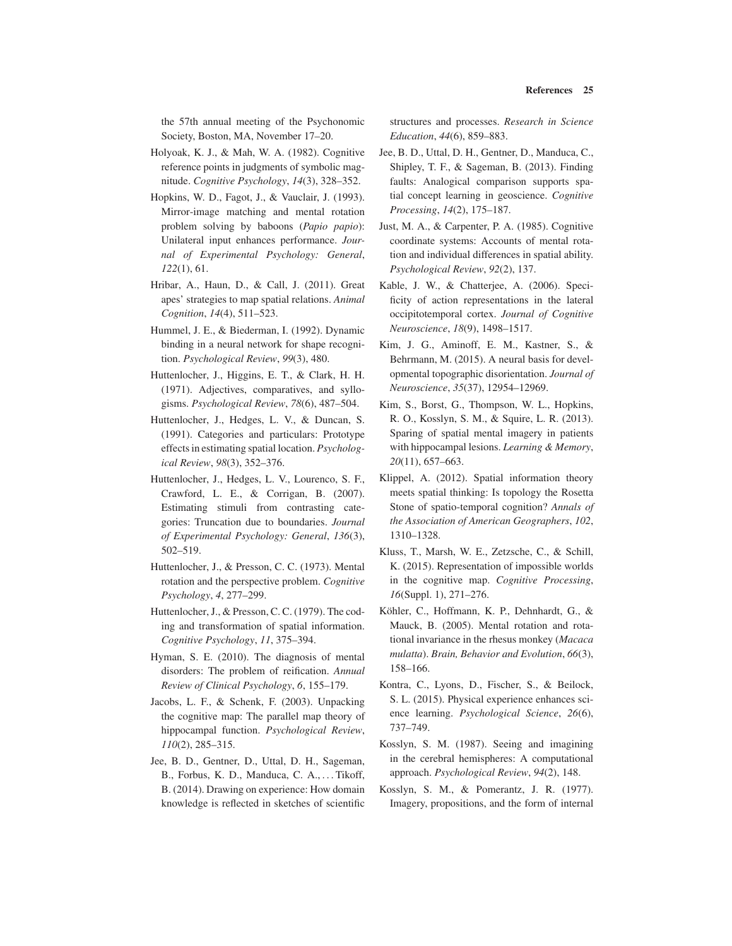the 57th annual meeting of the Psychonomic Society, Boston, MA, November 17–20.

- Holyoak, K. J., & Mah, W. A. (1982). Cognitive reference points in judgments of symbolic magnitude. *Cognitive Psychology*, *14*(3), 328–352.
- Hopkins, W. D., Fagot, J., & Vauclair, J. (1993). Mirror-image matching and mental rotation problem solving by baboons (*Papio papio*): Unilateral input enhances performance. *Journal of Experimental Psychology: General*, *122*(1), 61.
- Hribar, A., Haun, D., & Call, J. (2011). Great apes' strategies to map spatial relations. *Animal Cognition*, *14*(4), 511–523.
- Hummel, J. E., & Biederman, I. (1992). Dynamic binding in a neural network for shape recognition. *Psychological Review*, *99*(3), 480.
- Huttenlocher, J., Higgins, E. T., & Clark, H. H. (1971). Adjectives, comparatives, and syllogisms. *Psychological Review*, *78*(6), 487–504.
- Huttenlocher, J., Hedges, L. V., & Duncan, S. (1991). Categories and particulars: Prototype effects in estimating spatial location. *Psychological Review*, *98*(3), 352–376.
- Huttenlocher, J., Hedges, L. V., Lourenco, S. F., Crawford, L. E., & Corrigan, B. (2007). Estimating stimuli from contrasting categories: Truncation due to boundaries. *Journal of Experimental Psychology: General*, *136*(3), 502–519.
- Huttenlocher, J., & Presson, C. C. (1973). Mental rotation and the perspective problem. *Cognitive Psychology*, *4*, 277–299.
- Huttenlocher, J., & Presson, C. C. (1979). The coding and transformation of spatial information. *Cognitive Psychology*, *11*, 375–394.
- Hyman, S. E. (2010). The diagnosis of mental disorders: The problem of reification. *Annual Review of Clinical Psychology*, *6*, 155–179.
- Jacobs, L. F., & Schenk, F. (2003). Unpacking the cognitive map: The parallel map theory of hippocampal function. *Psychological Review*, *110*(2), 285–315.
- Jee, B. D., Gentner, D., Uttal, D. H., Sageman, B., Forbus, K. D., Manduca, C. A., ... Tikoff, B. (2014). Drawing on experience: How domain knowledge is reflected in sketches of scientific

structures and processes. *Research in Science Education*, *44*(6), 859–883.

- Jee, B. D., Uttal, D. H., Gentner, D., Manduca, C., Shipley, T. F., & Sageman, B. (2013). Finding faults: Analogical comparison supports spatial concept learning in geoscience. *Cognitive Processing*, *14*(2), 175–187.
- Just, M. A., & Carpenter, P. A. (1985). Cognitive coordinate systems: Accounts of mental rotation and individual differences in spatial ability. *Psychological Review*, *92*(2), 137.
- Kable, J. W., & Chatterjee, A. (2006). Specificity of action representations in the lateral occipitotemporal cortex. *Journal of Cognitive Neuroscience*, *18*(9), 1498–1517.
- Kim, J. G., Aminoff, E. M., Kastner, S., & Behrmann, M. (2015). A neural basis for developmental topographic disorientation. *Journal of Neuroscience*, *35*(37), 12954–12969.
- Kim, S., Borst, G., Thompson, W. L., Hopkins, R. O., Kosslyn, S. M., & Squire, L. R. (2013). Sparing of spatial mental imagery in patients with hippocampal lesions. *Learning & Memory*, *20*(11), 657–663.
- Klippel, A. (2012). Spatial information theory meets spatial thinking: Is topology the Rosetta Stone of spatio-temporal cognition? *Annals of the Association of American Geographers*, *102*, 1310–1328.
- Kluss, T., Marsh, W. E., Zetzsche, C., & Schill, K. (2015). Representation of impossible worlds in the cognitive map. *Cognitive Processing*, *16*(Suppl. 1), 271–276.
- Köhler, C., Hoffmann, K. P., Dehnhardt, G., & Mauck, B. (2005). Mental rotation and rotational invariance in the rhesus monkey (*Macaca mulatta*). *Brain, Behavior and Evolution*, *66*(3), 158–166.
- Kontra, C., Lyons, D., Fischer, S., & Beilock, S. L. (2015). Physical experience enhances science learning. *Psychological Science*, *26*(6), 737–749.
- Kosslyn, S. M. (1987). Seeing and imagining in the cerebral hemispheres: A computational approach. *Psychological Review*, *94*(2), 148.
- Kosslyn, S. M., & Pomerantz, J. R. (1977). Imagery, propositions, and the form of internal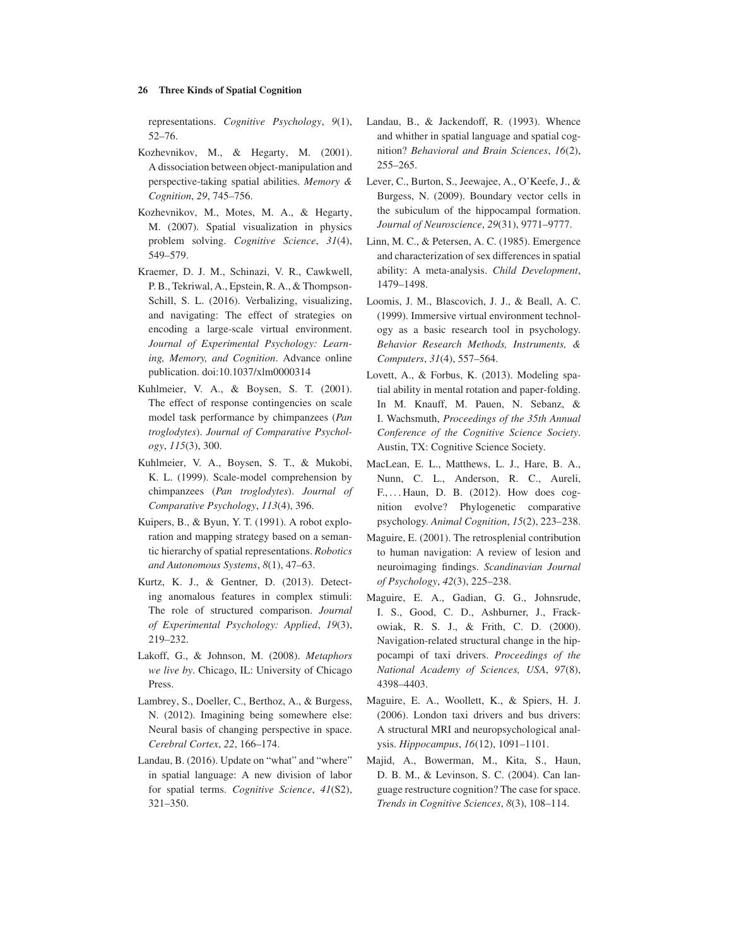representations. *Cognitive Psychology*, *9*(1), 52–76.

- Kozhevnikov, M., & Hegarty, M. (2001). A dissociation between object-manipulation and perspective-taking spatial abilities. *Memory & Cognition*, *29*, 745–756.
- Kozhevnikov, M., Motes, M. A., & Hegarty, M. (2007). Spatial visualization in physics problem solving. *Cognitive Science*, *31*(4), 549–579.
- Kraemer, D. J. M., Schinazi, V. R., Cawkwell, P. B., Tekriwal, A., Epstein, R. A., & Thompson-Schill, S. L. (2016). Verbalizing, visualizing, and navigating: The effect of strategies on encoding a large-scale virtual environment. *Journal of Experimental Psychology: Learning, Memory, and Cognition*. Advance online publication. doi:10.1037/xlm0000314
- Kuhlmeier, V. A., & Boysen, S. T. (2001). The effect of response contingencies on scale model task performance by chimpanzees (*Pan troglodytes*). *Journal of Comparative Psychology*, *115*(3), 300.
- Kuhlmeier, V. A., Boysen, S. T., & Mukobi, K. L. (1999). Scale-model comprehension by chimpanzees (*Pan troglodytes*). *Journal of Comparative Psychology*, *113*(4), 396.
- Kuipers, B., & Byun, Y. T. (1991). A robot exploration and mapping strategy based on a semantic hierarchy of spatial representations. *Robotics and Autonomous Systems*, *8*(1), 47–63.
- Kurtz, K. J., & Gentner, D. (2013). Detecting anomalous features in complex stimuli: The role of structured comparison. *Journal of Experimental Psychology: Applied*, *19*(3), 219–232.
- Lakoff, G., & Johnson, M. (2008). *Metaphors we live by*. Chicago, IL: University of Chicago Press.
- Lambrey, S., Doeller, C., Berthoz, A., & Burgess, N. (2012). Imagining being somewhere else: Neural basis of changing perspective in space. *Cerebral Cortex*, *22*, 166–174.
- Landau, B. (2016). Update on "what" and "where" in spatial language: A new division of labor for spatial terms. *Cognitive Science*, *41*(S2), 321–350.
- Landau, B., & Jackendoff, R. (1993). Whence and whither in spatial language and spatial cognition? *Behavioral and Brain Sciences*, *16*(2), 255–265.
- Lever, C., Burton, S., Jeewajee, A., O'Keefe, J., & Burgess, N. (2009). Boundary vector cells in the subiculum of the hippocampal formation. *Journal of Neuroscience*, *29*(31), 9771–9777.
- Linn, M. C., & Petersen, A. C. (1985). Emergence and characterization of sex differences in spatial ability: A meta-analysis. *Child Development*, 1479–1498.
- Loomis, J. M., Blascovich, J. J., & Beall, A. C. (1999). Immersive virtual environment technology as a basic research tool in psychology. *Behavior Research Methods, Instruments, & Computers*, *31*(4), 557–564.
- Lovett, A., & Forbus, K. (2013). Modeling spatial ability in mental rotation and paper-folding. In M. Knauff, M. Pauen, N. Sebanz, & I. Wachsmuth, *Proceedings of the 35th Annual Conference of the Cognitive Science Society*. Austin, TX: Cognitive Science Society.
- MacLean, E. L., Matthews, L. J., Hare, B. A., Nunn, C. L., Anderson, R. C., Aureli, F., . . . Haun, D. B. (2012). How does cognition evolve? Phylogenetic comparative psychology. *Animal Cognition*, *15*(2), 223–238.
- Maguire, E. (2001). The retrosplenial contribution to human navigation: A review of lesion and neuroimaging findings. *Scandinavian Journal of Psychology*, *42*(3), 225–238.
- Maguire, E. A., Gadian, G. G., Johnsrude, I. S., Good, C. D., Ashburner, J., Frackowiak, R. S. J., & Frith, C. D. (2000). Navigation-related structural change in the hippocampi of taxi drivers. *Proceedings of the National Academy of Sciences, USA*, *97*(8), 4398–4403.
- Maguire, E. A., Woollett, K., & Spiers, H. J. (2006). London taxi drivers and bus drivers: A structural MRI and neuropsychological analysis. *Hippocampus*, *16*(12), 1091–1101.
- Majid, A., Bowerman, M., Kita, S., Haun, D. B. M., & Levinson, S. C. (2004). Can language restructure cognition? The case for space. *Trends in Cognitive Sciences*, *8*(3), 108–114.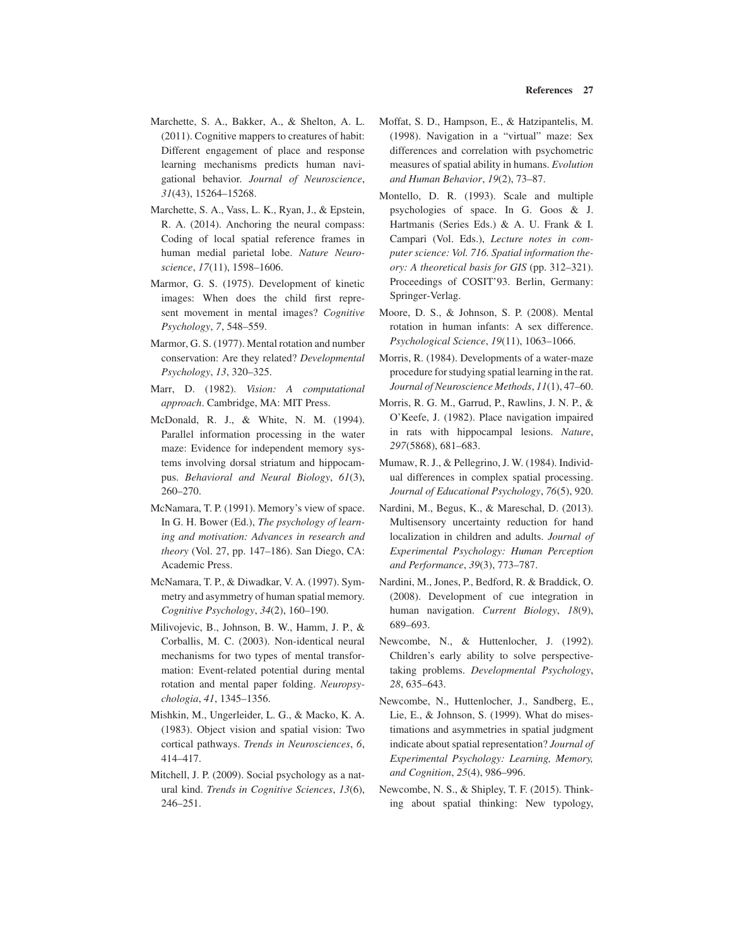- Marchette, S. A., Bakker, A., & Shelton, A. L. (2011). Cognitive mappers to creatures of habit: Different engagement of place and response learning mechanisms predicts human navigational behavior. *Journal of Neuroscience*, *31*(43), 15264–15268.
- Marchette, S. A., Vass, L. K., Ryan, J., & Epstein, R. A. (2014). Anchoring the neural compass: Coding of local spatial reference frames in human medial parietal lobe. *Nature Neuroscience*, *17*(11), 1598–1606.
- Marmor, G. S. (1975). Development of kinetic images: When does the child first represent movement in mental images? *Cognitive Psychology*, *7*, 548–559.
- Marmor, G. S. (1977). Mental rotation and number conservation: Are they related? *Developmental Psychology*, *13*, 320–325.
- Marr, D. (1982). *Vision: A computational approach*. Cambridge, MA: MIT Press.
- McDonald, R. J., & White, N. M. (1994). Parallel information processing in the water maze: Evidence for independent memory systems involving dorsal striatum and hippocampus. *Behavioral and Neural Biology*, *61*(3), 260–270.
- McNamara, T. P. (1991). Memory's view of space. In G. H. Bower (Ed.), *The psychology of learning and motivation: Advances in research and theory* (Vol. 27, pp. 147–186). San Diego, CA: Academic Press.
- McNamara, T. P., & Diwadkar, V. A. (1997). Symmetry and asymmetry of human spatial memory. *Cognitive Psychology*, *34*(2), 160–190.
- Milivojevic, B., Johnson, B. W., Hamm, J. P., & Corballis, M. C. (2003). Non-identical neural mechanisms for two types of mental transformation: Event-related potential during mental rotation and mental paper folding. *Neuropsychologia*, *41*, 1345–1356.
- Mishkin, M., Ungerleider, L. G., & Macko, K. A. (1983). Object vision and spatial vision: Two cortical pathways. *Trends in Neurosciences*, *6*, 414–417.
- Mitchell, J. P. (2009). Social psychology as a natural kind. *Trends in Cognitive Sciences*, *13*(6), 246–251.
- Moffat, S. D., Hampson, E., & Hatzipantelis, M. (1998). Navigation in a "virtual" maze: Sex differences and correlation with psychometric measures of spatial ability in humans. *Evolution and Human Behavior*, *19*(2), 73–87.
- Montello, D. R. (1993). Scale and multiple psychologies of space. In G. Goos & J. Hartmanis (Series Eds.) & A. U. Frank & I. Campari (Vol. Eds.), *Lecture notes in computer science: Vol. 716. Spatial information theory: A theoretical basis for GIS* (pp. 312–321). Proceedings of COSIT'93. Berlin, Germany: Springer-Verlag.
- Moore, D. S., & Johnson, S. P. (2008). Mental rotation in human infants: A sex difference. *Psychological Science*, *19*(11), 1063–1066.
- Morris, R. (1984). Developments of a water-maze procedure for studying spatial learning in the rat. *Journal of Neuroscience Methods*, *11*(1), 47–60.
- Morris, R. G. M., Garrud, P., Rawlins, J. N. P., & O'Keefe, J. (1982). Place navigation impaired in rats with hippocampal lesions. *Nature*, *297*(5868), 681–683.
- Mumaw, R. J., & Pellegrino, J. W. (1984). Individual differences in complex spatial processing. *Journal of Educational Psychology*, *76*(5), 920.
- Nardini, M., Begus, K., & Mareschal, D. (2013). Multisensory uncertainty reduction for hand localization in children and adults. *Journal of Experimental Psychology: Human Perception and Performance*, *39*(3), 773–787.
- Nardini, M., Jones, P., Bedford, R. & Braddick, O. (2008). Development of cue integration in human navigation. *Current Biology*, *18*(9), 689–693.
- Newcombe, N., & Huttenlocher, J. (1992). Children's early ability to solve perspectivetaking problems. *Developmental Psychology*, *28*, 635–643.
- Newcombe, N., Huttenlocher, J., Sandberg, E., Lie, E., & Johnson, S. (1999). What do misestimations and asymmetries in spatial judgment indicate about spatial representation? *Journal of Experimental Psychology: Learning, Memory, and Cognition*, *25*(4), 986–996.
- Newcombe, N. S., & Shipley, T. F. (2015). Thinking about spatial thinking: New typology,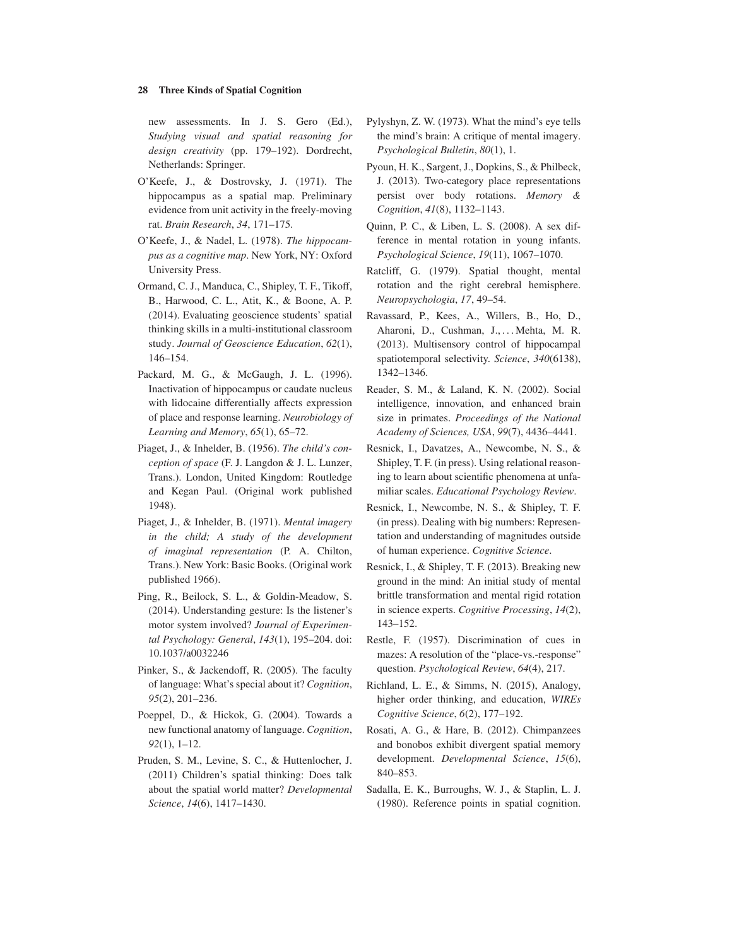new assessments. In J. S. Gero (Ed.), *Studying visual and spatial reasoning for design creativity* (pp. 179–192). Dordrecht, Netherlands: Springer.

- O'Keefe, J., & Dostrovsky, J. (1971). The hippocampus as a spatial map. Preliminary evidence from unit activity in the freely-moving rat. *Brain Research*, *34*, 171–175.
- O'Keefe, J., & Nadel, L. (1978). *The hippocampus as a cognitive map*. New York, NY: Oxford University Press.
- Ormand, C. J., Manduca, C., Shipley, T. F., Tikoff, B., Harwood, C. L., Atit, K., & Boone, A. P. (2014). Evaluating geoscience students' spatial thinking skills in a multi-institutional classroom study. *Journal of Geoscience Education*, *62*(1), 146–154.
- Packard, M. G., & McGaugh, J. L. (1996). Inactivation of hippocampus or caudate nucleus with lidocaine differentially affects expression of place and response learning. *Neurobiology of Learning and Memory*, *65*(1), 65–72.
- Piaget, J., & Inhelder, B. (1956). *The child's conception of space* (F. J. Langdon & J. L. Lunzer, Trans.). London, United Kingdom: Routledge and Kegan Paul. (Original work published 1948).
- Piaget, J., & Inhelder, B. (1971). *Mental imagery in the child; A study of the development of imaginal representation* (P. A. Chilton, Trans.). New York: Basic Books. (Original work published 1966).
- Ping, R., Beilock, S. L., & Goldin-Meadow, S. (2014). Understanding gesture: Is the listener's motor system involved? *Journal of Experimental Psychology: General*, *143*(1), 195–204. doi: 10.1037/a0032246
- Pinker, S., & Jackendoff, R. (2005). The faculty of language: What's special about it? *Cognition*, *95*(2), 201–236.
- Poeppel, D., & Hickok, G. (2004). Towards a new functional anatomy of language. *Cognition*, *92*(1), 1–12.
- Pruden, S. M., Levine, S. C., & Huttenlocher, J. (2011) Children's spatial thinking: Does talk about the spatial world matter? *Developmental Science*, *14*(6), 1417–1430.
- Pylyshyn, Z. W. (1973). What the mind's eye tells the mind's brain: A critique of mental imagery. *Psychological Bulletin*, *80*(1), 1.
- Pyoun, H. K., Sargent, J., Dopkins, S., & Philbeck, J. (2013). Two-category place representations persist over body rotations. *Memory & Cognition*, *41*(8), 1132–1143.
- Quinn, P. C., & Liben, L. S. (2008). A sex difference in mental rotation in young infants. *Psychological Science*, *19*(11), 1067–1070.
- Ratcliff, G. (1979). Spatial thought, mental rotation and the right cerebral hemisphere. *Neuropsychologia*, *17*, 49–54.
- Ravassard, P., Kees, A., Willers, B., Ho, D., Aharoni, D., Cushman, J., . . . Mehta, M. R. (2013). Multisensory control of hippocampal spatiotemporal selectivity. *Science*, *340*(6138), 1342–1346.
- Reader, S. M., & Laland, K. N. (2002). Social intelligence, innovation, and enhanced brain size in primates. *Proceedings of the National Academy of Sciences, USA*, *99*(7), 4436–4441.
- Resnick, I., Davatzes, A., Newcombe, N. S., & Shipley, T. F. (in press). Using relational reasoning to learn about scientific phenomena at unfamiliar scales. *Educational Psychology Review*.
- Resnick, I., Newcombe, N. S., & Shipley, T. F. (in press). Dealing with big numbers: Representation and understanding of magnitudes outside of human experience. *Cognitive Science*.
- Resnick, I., & Shipley, T. F. (2013). Breaking new ground in the mind: An initial study of mental brittle transformation and mental rigid rotation in science experts. *Cognitive Processing*, *14*(2), 143–152.
- Restle, F. (1957). Discrimination of cues in mazes: A resolution of the "place-vs.-response" question. *Psychological Review*, *64*(4), 217.
- Richland, L. E., & Simms, N. (2015), Analogy, higher order thinking, and education, *WIREs Cognitive Science*, *6*(2), 177–192.
- Rosati, A. G., & Hare, B. (2012). Chimpanzees and bonobos exhibit divergent spatial memory development. *Developmental Science*, *15*(6), 840–853.
- Sadalla, E. K., Burroughs, W. J., & Staplin, L. J. (1980). Reference points in spatial cognition.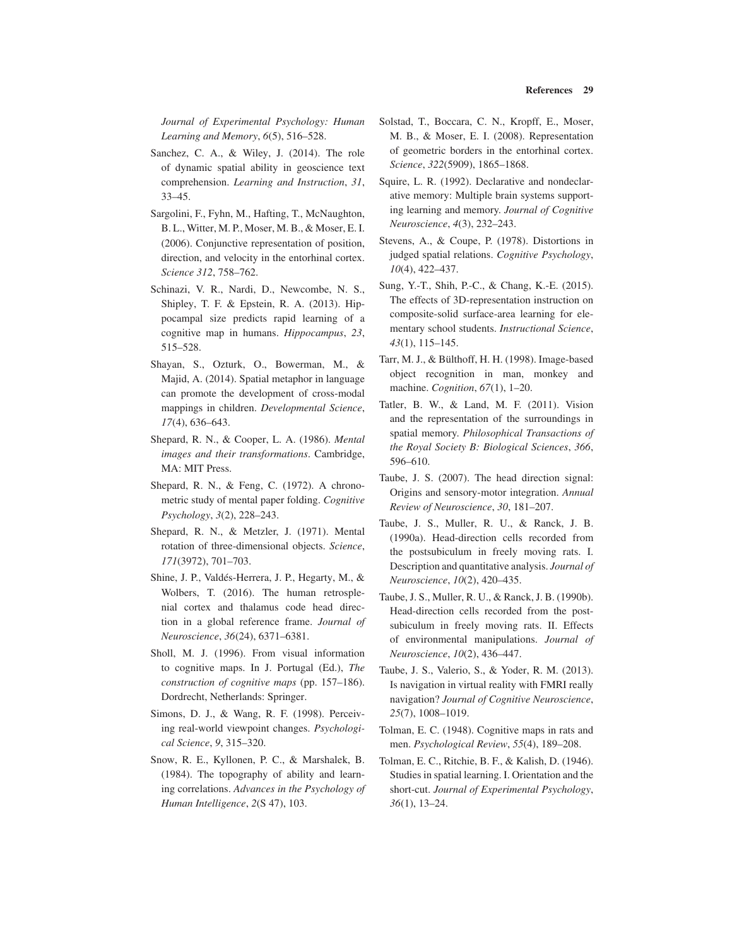*Journal of Experimental Psychology: Human Learning and Memory*, *6*(5), 516–528.

- Sanchez, C. A., & Wiley, J. (2014). The role of dynamic spatial ability in geoscience text comprehension. *Learning and Instruction*, *31*, 33–45.
- Sargolini, F., Fyhn, M., Hafting, T., McNaughton, B. L., Witter, M. P., Moser, M. B., & Moser, E. I. (2006). Conjunctive representation of position, direction, and velocity in the entorhinal cortex. *Science 312*, 758–762.
- Schinazi, V. R., Nardi, D., Newcombe, N. S., Shipley, T. F. & Epstein, R. A. (2013). Hippocampal size predicts rapid learning of a cognitive map in humans. *Hippocampus*, *23*, 515–528.
- Shayan, S., Ozturk, O., Bowerman, M., & Majid, A. (2014). Spatial metaphor in language can promote the development of cross-modal mappings in children. *Developmental Science*, *17*(4), 636–643.
- Shepard, R. N., & Cooper, L. A. (1986). *Mental images and their transformations*. Cambridge, MA: MIT Press.
- Shepard, R. N., & Feng, C. (1972). A chronometric study of mental paper folding. *Cognitive Psychology*, *3*(2), 228–243.
- Shepard, R. N., & Metzler, J. (1971). Mental rotation of three-dimensional objects. *Science*, *171*(3972), 701–703.
- Shine, J. P., Valdés-Herrera, J. P., Hegarty, M., & Wolbers, T. (2016). The human retrosplenial cortex and thalamus code head direction in a global reference frame. *Journal of Neuroscience*, *36*(24), 6371–6381.
- Sholl, M. J. (1996). From visual information to cognitive maps. In J. Portugal (Ed.), *The construction of cognitive maps* (pp. 157–186). Dordrecht, Netherlands: Springer.
- Simons, D. J., & Wang, R. F. (1998). Perceiving real-world viewpoint changes. *Psychological Science*, *9*, 315–320.
- Snow, R. E., Kyllonen, P. C., & Marshalek, B. (1984). The topography of ability and learning correlations. *Advances in the Psychology of Human Intelligence*, *2*(S 47), 103.
- Solstad, T., Boccara, C. N., Kropff, E., Moser, M. B., & Moser, E. I. (2008). Representation of geometric borders in the entorhinal cortex. *Science*, *322*(5909), 1865–1868.
- Squire, L. R. (1992). Declarative and nondeclarative memory: Multiple brain systems supporting learning and memory. *Journal of Cognitive Neuroscience*, *4*(3), 232–243.
- Stevens, A., & Coupe, P. (1978). Distortions in judged spatial relations. *Cognitive Psychology*, *10*(4), 422–437.
- Sung, Y.-T., Shih, P.-C., & Chang, K.-E. (2015). The effects of 3D-representation instruction on composite-solid surface-area learning for elementary school students. *Instructional Science*, *43*(1), 115–145.
- Tarr, M. J., & Bülthoff, H. H. (1998). Image-based object recognition in man, monkey and machine. *Cognition*, *67*(1), 1–20.
- Tatler, B. W., & Land, M. F. (2011). Vision and the representation of the surroundings in spatial memory. *Philosophical Transactions of the Royal Society B: Biological Sciences*, *366*, 596–610.
- Taube, J. S. (2007). The head direction signal: Origins and sensory-motor integration. *Annual Review of Neuroscience*, *30*, 181–207.
- Taube, J. S., Muller, R. U., & Ranck, J. B. (1990a). Head-direction cells recorded from the postsubiculum in freely moving rats. I. Description and quantitative analysis. *Journal of Neuroscience*, *10*(2), 420–435.
- Taube, J. S., Muller, R. U., & Ranck, J. B. (1990b). Head-direction cells recorded from the postsubiculum in freely moving rats. II. Effects of environmental manipulations. *Journal of Neuroscience*, *10*(2), 436–447.
- Taube, J. S., Valerio, S., & Yoder, R. M. (2013). Is navigation in virtual reality with FMRI really navigation? *Journal of Cognitive Neuroscience*, *25*(7), 1008–1019.
- Tolman, E. C. (1948). Cognitive maps in rats and men. *Psychological Review*, *55*(4), 189–208.
- Tolman, E. C., Ritchie, B. F., & Kalish, D. (1946). Studies in spatial learning. I. Orientation and the short-cut. *Journal of Experimental Psychology*, *36*(1), 13–24.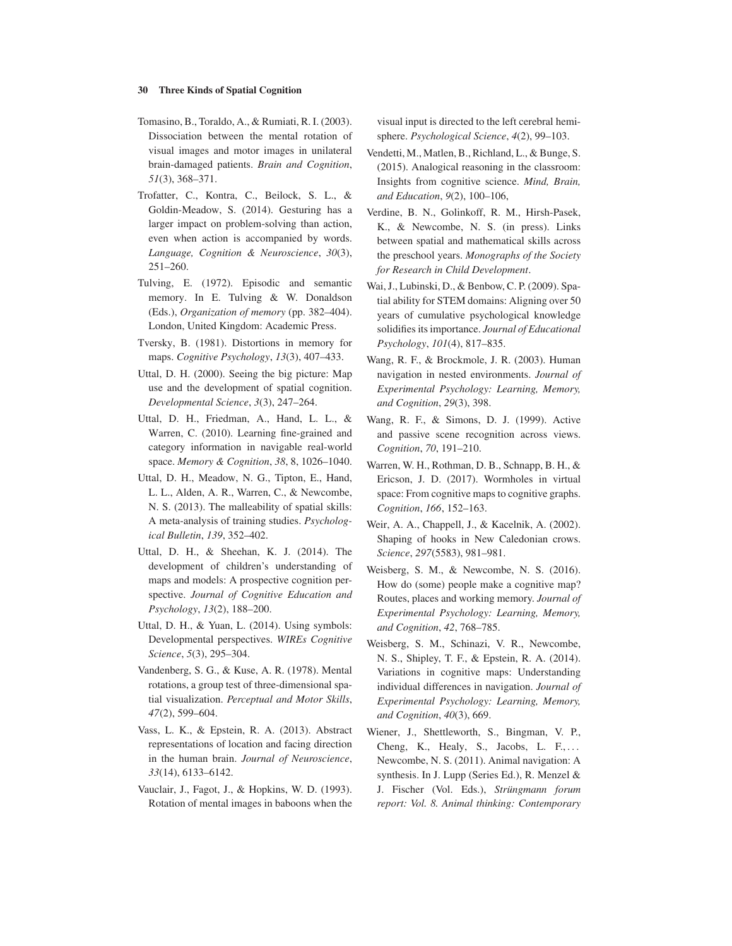- Tomasino, B., Toraldo, A., & Rumiati, R. I. (2003). Dissociation between the mental rotation of visual images and motor images in unilateral brain-damaged patients. *Brain and Cognition*, *51*(3), 368–371.
- Trofatter, C., Kontra, C., Beilock, S. L., & Goldin-Meadow, S. (2014). Gesturing has a larger impact on problem-solving than action, even when action is accompanied by words. *Language, Cognition & Neuroscience*, *30*(3), 251–260.
- Tulving, E. (1972). Episodic and semantic memory. In E. Tulving & W. Donaldson (Eds.), *Organization of memory* (pp. 382–404). London, United Kingdom: Academic Press.
- Tversky, B. (1981). Distortions in memory for maps. *Cognitive Psychology*, *13*(3), 407–433.
- Uttal, D. H. (2000). Seeing the big picture: Map use and the development of spatial cognition. *Developmental Science*, *3*(3), 247–264.
- Uttal, D. H., Friedman, A., Hand, L. L., & Warren, C. (2010). Learning fine-grained and category information in navigable real-world space. *Memory & Cognition*, *38*, 8, 1026–1040.
- Uttal, D. H., Meadow, N. G., Tipton, E., Hand, L. L., Alden, A. R., Warren, C., & Newcombe, N. S. (2013). The malleability of spatial skills: A meta-analysis of training studies. *Psychological Bulletin*, *139*, 352–402.
- Uttal, D. H., & Sheehan, K. J. (2014). The development of children's understanding of maps and models: A prospective cognition perspective. *Journal of Cognitive Education and Psychology*, *13*(2), 188–200.
- Uttal, D. H., & Yuan, L. (2014). Using symbols: Developmental perspectives. *WIREs Cognitive Science*, *5*(3), 295–304.
- Vandenberg, S. G., & Kuse, A. R. (1978). Mental rotations, a group test of three-dimensional spatial visualization. *Perceptual and Motor Skills*, *47*(2), 599–604.
- Vass, L. K., & Epstein, R. A. (2013). Abstract representations of location and facing direction in the human brain. *Journal of Neuroscience*, *33*(14), 6133–6142.
- Vauclair, J., Fagot, J., & Hopkins, W. D. (1993). Rotation of mental images in baboons when the

visual input is directed to the left cerebral hemisphere. *Psychological Science*, *4*(2), 99–103.

- Vendetti, M., Matlen, B., Richland, L., & Bunge, S. (2015). Analogical reasoning in the classroom: Insights from cognitive science. *Mind, Brain, and Education*, *9*(2), 100–106,
- Verdine, B. N., Golinkoff, R. M., Hirsh-Pasek, K., & Newcombe, N. S. (in press). Links between spatial and mathematical skills across the preschool years. *Monographs of the Society for Research in Child Development*.
- Wai, J., Lubinski, D., & Benbow, C. P. (2009). Spatial ability for STEM domains: Aligning over 50 years of cumulative psychological knowledge solidifies its importance. *Journal of Educational Psychology*, *101*(4), 817–835.
- Wang, R. F., & Brockmole, J. R. (2003). Human navigation in nested environments. *Journal of Experimental Psychology: Learning, Memory, and Cognition*, *29*(3), 398.
- Wang, R. F., & Simons, D. J. (1999). Active and passive scene recognition across views. *Cognition*, *70*, 191–210.
- Warren, W. H., Rothman, D. B., Schnapp, B. H., & Ericson, J. D. (2017). Wormholes in virtual space: From cognitive maps to cognitive graphs. *Cognition*, *166*, 152–163.
- Weir, A. A., Chappell, J., & Kacelnik, A. (2002). Shaping of hooks in New Caledonian crows. *Science*, *297*(5583), 981–981.
- Weisberg, S. M., & Newcombe, N. S. (2016). How do (some) people make a cognitive map? Routes, places and working memory. *Journal of Experimental Psychology: Learning, Memory, and Cognition*, *42*, 768–785.
- Weisberg, S. M., Schinazi, V. R., Newcombe, N. S., Shipley, T. F., & Epstein, R. A. (2014). Variations in cognitive maps: Understanding individual differences in navigation. *Journal of Experimental Psychology: Learning, Memory, and Cognition*, *40*(3), 669.
- Wiener, J., Shettleworth, S., Bingman, V. P., Cheng, K., Healy, S., Jacobs, L. F.,... Newcombe, N. S. (2011). Animal navigation: A synthesis. In J. Lupp (Series Ed.), R. Menzel & J. Fischer (Vol. Eds.), *Strüngmann forum report: Vol. 8. Animal thinking: Contemporary*